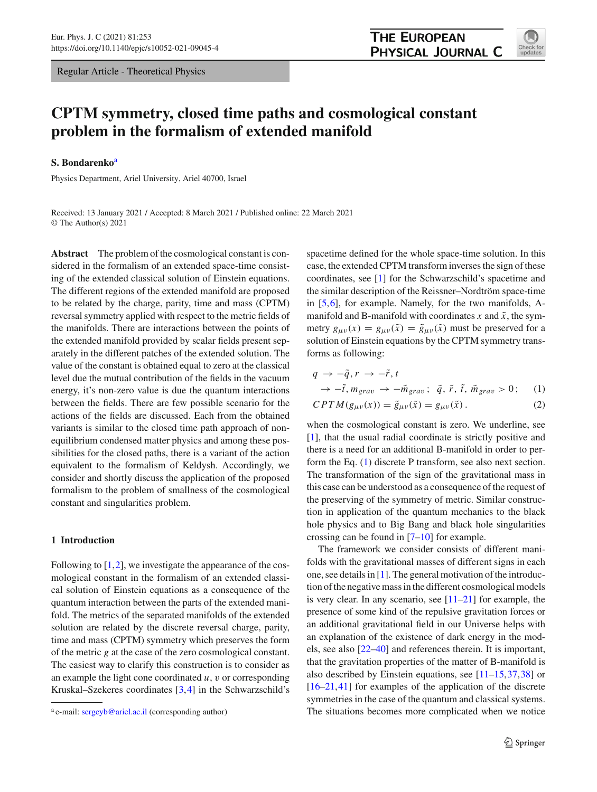Regular Article - Theoretical Physics

# **THE EUROPEAN** PHYSICAL JOURNAL C



# **CPTM symmetry, closed time paths and cosmological constant problem in the formalism of extended manifold**

#### **S. Bondarenko**<sup>a</sup>

Physics Department, Ariel University, Ariel 40700, Israel

Received: 13 January 2021 / Accepted: 8 March 2021 / Published online: 22 March 2021 © The Author(s) 2021

**Abstract** The problem of the cosmological constant is considered in the formalism of an extended space-time consisting of the extended classical solution of Einstein equations. The different regions of the extended manifold are proposed to be related by the charge, parity, time and mass (CPTM) reversal symmetry applied with respect to the metric fields of the manifolds. There are interactions between the points of the extended manifold provided by scalar fields present separately in the different patches of the extended solution. The value of the constant is obtained equal to zero at the classical level due the mutual contribution of the fields in the vacuum energy, it's non-zero value is due the quantum interactions between the fields. There are few possible scenario for the actions of the fields are discussed. Each from the obtained variants is similar to the closed time path approach of nonequilibrium condensed matter physics and among these possibilities for the closed paths, there is a variant of the action equivalent to the formalism of Keldysh. Accordingly, we consider and shortly discuss the application of the proposed formalism to the problem of smallness of the cosmological constant and singularities problem.

## **1 Introduction**

Following to  $[1,2]$  $[1,2]$  $[1,2]$ , we investigate the appearance of the cosmological constant in the formalism of an extended classical solution of Einstein equations as a consequence of the quantum interaction between the parts of the extended manifold. The metrics of the separated manifolds of the extended solution are related by the discrete reversal charge, parity, time and mass (CPTM) symmetry which preserves the form of the metric *g* at the case of the zero cosmological constant. The easiest way to clarify this construction is to consider as an example the light cone coordinated *u*, v or corresponding Kruskal–Szekeres coordinates [\[3](#page-19-2),[4\]](#page-19-3) in the Schwarzschild's spacetime defined for the whole space-time solution. In this case, the extended CPTM transform inverses the sign of these coordinates, see [\[1](#page-19-0)] for the Schwarzschild's spacetime and the similar description of the Reissner–Nordtröm space-time in [\[5](#page-19-4)[,6](#page-19-5)], for example. Namely, for the two manifolds, Amanifold and B-manifold with coordinates  $x$  and  $\tilde{x}$ , the symmetry  $g_{\mu\nu}(x) = g_{\mu\nu}(\tilde{x}) = \tilde{g}_{\mu\nu}(\tilde{x})$  must be preserved for a solution of Einstein equations by the CPTM symmetry transforms as following:

<span id="page-0-0"></span>
$$
q \to -\tilde{q}, r \to -\tilde{r}, t
$$
  
\n
$$
\to -\tilde{t}, m_{grav} \to -\tilde{m}_{grav}; \ \tilde{q}, \ \tilde{r}, \ \tilde{t}, \ \tilde{m}_{grav} > 0; \tag{1}
$$

$$
CPTM(g_{\mu\nu}(x)) = \tilde{g}_{\mu\nu}(\tilde{x}) = g_{\mu\nu}(\tilde{x}).
$$
\n(2)

when the cosmological constant is zero. We underline, see [\[1](#page-19-0)], that the usual radial coordinate is strictly positive and there is a need for an additional B-manifold in order to perform the Eq. [\(1\)](#page-0-0) discrete P transform, see also next section. The transformation of the sign of the gravitational mass in this case can be understood as a consequence of the request of the preserving of the symmetry of metric. Similar construction in application of the quantum mechanics to the black hole physics and to Big Bang and black hole singularities crossing can be found in [\[7](#page-19-6)[–10](#page-19-7)] for example.

The framework we consider consists of different manifolds with the gravitational masses of different signs in each one, see details in  $[1]$  $[1]$ . The general motivation of the introduction of the negative mass in the different cosmological models is very clear. In any scenario, see  $[11-21]$  $[11-21]$  for example, the presence of some kind of the repulsive gravitation forces or an additional gravitational field in our Universe helps with an explanation of the existence of dark energy in the models, see also [\[22](#page-19-10)[–40\]](#page-20-0) and references therein. It is important, that the gravitation properties of the matter of B-manifold is also described by Einstein equations, see [\[11](#page-19-8)[–15](#page-19-11)[,37](#page-20-1),[38\]](#page-20-2) or [\[16](#page-19-12)[–21](#page-19-9),[41\]](#page-20-3) for examples of the application of the discrete symmetries in the case of the quantum and classical systems. The situations becomes more complicated when we notice

<sup>&</sup>lt;sup>a</sup> e-mail: [sergeyb@ariel.ac.il](mailto:sergeyb@ariel.ac.il) (corresponding author)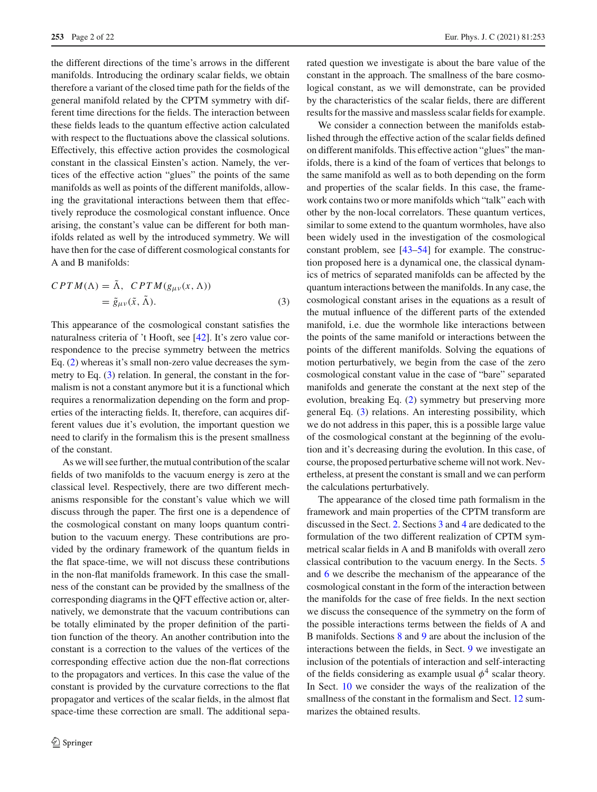the different directions of the time's arrows in the different manifolds. Introducing the ordinary scalar fields, we obtain therefore a variant of the closed time path for the fields of the general manifold related by the CPTM symmetry with different time directions for the fields. The interaction between these fields leads to the quantum effective action calculated with respect to the fluctuations above the classical solutions. Effectively, this effective action provides the cosmological constant in the classical Einsten's action. Namely, the vertices of the effective action "glues" the points of the same manifolds as well as points of the different manifolds, allowing the gravitational interactions between them that effectively reproduce the cosmological constant influence. Once arising, the constant's value can be different for both manifolds related as well by the introduced symmetry. We will have then for the case of different cosmological constants for A and B manifolds:

<span id="page-1-0"></span>
$$
CPTM(\Lambda) = \tilde{\Lambda}, \quad CPTM(g_{\mu\nu}(x,\Lambda))
$$
  
=  $\tilde{g}_{\mu\nu}(\tilde{x}, \tilde{\Lambda}).$  (3)

This appearance of the cosmological constant satisfies the naturalness criteria of 't Hooft, see [\[42\]](#page-20-4). It's zero value correspondence to the precise symmetry between the metrics Eq. [\(2\)](#page-0-0) whereas it's small non-zero value decreases the symmetry to Eq. [\(3\)](#page-1-0) relation. In general, the constant in the formalism is not a constant anymore but it is a functional which requires a renormalization depending on the form and properties of the interacting fields. It, therefore, can acquires different values due it's evolution, the important question we need to clarify in the formalism this is the present smallness of the constant.

As we will see further, the mutual contribution of the scalar fields of two manifolds to the vacuum energy is zero at the classical level. Respectively, there are two different mechanisms responsible for the constant's value which we will discuss through the paper. The first one is a dependence of the cosmological constant on many loops quantum contribution to the vacuum energy. These contributions are provided by the ordinary framework of the quantum fields in the flat space-time, we will not discuss these contributions in the non-flat manifolds framework. In this case the smallness of the constant can be provided by the smallness of the corresponding diagrams in the QFT effective action or, alternatively, we demonstrate that the vacuum contributions can be totally eliminated by the proper definition of the partition function of the theory. An another contribution into the constant is a correction to the values of the vertices of the corresponding effective action due the non-flat corrections to the propagators and vertices. In this case the value of the constant is provided by the curvature corrections to the flat propagator and vertices of the scalar fields, in the almost flat space-time these correction are small. The additional separated question we investigate is about the bare value of the constant in the approach. The smallness of the bare cosmological constant, as we will demonstrate, can be provided by the characteristics of the scalar fields, there are different results for the massive and massless scalar fields for example.

We consider a connection between the manifolds established through the effective action of the scalar fields defined on different manifolds. This effective action "glues" the manifolds, there is a kind of the foam of vertices that belongs to the same manifold as well as to both depending on the form and properties of the scalar fields. In this case, the framework contains two or more manifolds which "talk" each with other by the non-local correlators. These quantum vertices, similar to some extend to the quantum wormholes, have also been widely used in the investigation of the cosmological constant problem, see [\[43](#page-20-5)[–54\]](#page-20-6) for example. The construction proposed here is a dynamical one, the classical dynamics of metrics of separated manifolds can be affected by the quantum interactions between the manifolds. In any case, the cosmological constant arises in the equations as a result of the mutual influence of the different parts of the extended manifold, i.e. due the wormhole like interactions between the points of the same manifold or interactions between the points of the different manifolds. Solving the equations of motion perturbatively, we begin from the case of the zero cosmological constant value in the case of "bare" separated manifolds and generate the constant at the next step of the evolution, breaking Eq. [\(2\)](#page-0-0) symmetry but preserving more general Eq. [\(3\)](#page-1-0) relations. An interesting possibility, which we do not address in this paper, this is a possible large value of the cosmological constant at the beginning of the evolution and it's decreasing during the evolution. In this case, of course, the proposed perturbative scheme will not work. Nevertheless, at present the constant is small and we can perform the calculations perturbatively.

The appearance of the closed time path formalism in the framework and main properties of the CPTM transform are discussed in the Sect. [2.](#page-2-0) Sections [3](#page-3-0) and [4](#page-4-0) are dedicated to the formulation of the two different realization of CPTM symmetrical scalar fields in A and B manifolds with overall zero classical contribution to the vacuum energy. In the Sects. [5](#page-5-0) and [6](#page-6-0) we describe the mechanism of the appearance of the cosmological constant in the form of the interaction between the manifolds for the case of free fields. In the next section we discuss the consequence of the symmetry on the form of the possible interactions terms between the fields of A and B manifolds. Sections [8](#page-8-0) and [9](#page-9-0) are about the inclusion of the interactions between the fields, in Sect. [9](#page-9-0) we investigate an inclusion of the potentials of interaction and self-interacting of the fields considering as example usual  $\phi^4$  scalar theory. In Sect. [10](#page-11-0) we consider the ways of the realization of the smallness of the constant in the formalism and Sect. [12](#page-14-0) summarizes the obtained results.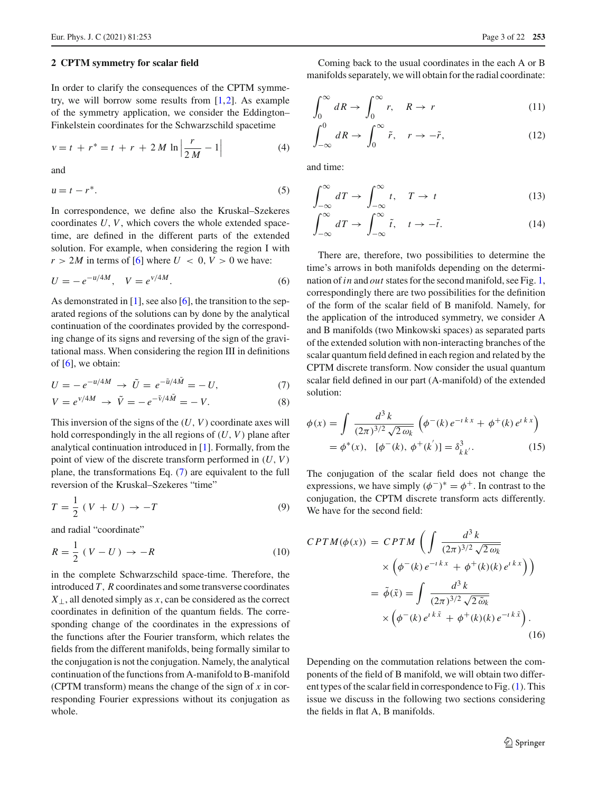#### <span id="page-2-0"></span>**2 CPTM symmetry for scalar field**

In order to clarify the consequences of the CPTM symmetry, we will borrow some results from [\[1](#page-19-0),[2\]](#page-19-1). As example of the symmetry application, we consider the Eddington– Finkelstein coordinates for the Schwarzschild spacetime

$$
v = t + r^* = t + r + 2 M \ln \left| \frac{r}{2 M} - 1 \right| \tag{4}
$$

and

$$
u = t - r^*.\tag{5}
$$

In correspondence, we define also the Kruskal–Szekeres coordinates *U*, *V*, which covers the whole extended spacetime, are defined in the different parts of the extended solution. For example, when considering the region I with  $r > 2M$  in terms of [\[6](#page-19-5)] where  $U < 0$ ,  $V > 0$  we have:

$$
U = -e^{-u/4M}, \quad V = e^{v/4M}.
$$
 (6)

As demonstrated in [\[1\]](#page-19-0), see also [\[6\]](#page-19-5), the transition to the separated regions of the solutions can by done by the analytical continuation of the coordinates provided by the corresponding change of its signs and reversing of the sign of the gravitational mass. When considering the region III in definitions of  $[6]$  $[6]$ , we obtain:

<span id="page-2-1"></span>
$$
U = -e^{-u/4M} \to \tilde{U} = e^{-\tilde{u}/4\tilde{M}} = -U,
$$
 (7)

$$
V = e^{\nu/4M} \to \tilde{V} = -e^{-\tilde{v}/4\tilde{M}} = -V.
$$
 (8)

This inversion of the signs of the (*U*, *V*) coordinate axes will hold correspondingly in the all regions of (*U*, *V*) plane after analytical continuation introduced in [\[1](#page-19-0)]. Formally, from the point of view of the discrete transform performed in (*U*, *V*) plane, the transformations Eq. [\(7\)](#page-2-1) are equivalent to the full reversion of the Kruskal–Szekeres "time"

$$
T = \frac{1}{2} \left( V + U \right) \rightarrow -T \tag{9}
$$

and radial "coordinate"

$$
R = \frac{1}{2} (V - U) \rightarrow -R \tag{10}
$$

in the complete Schwarzschild space-time. Therefore, the introduced *T*, *R* coordinates and some transverse coordinates *X*⊥, all denoted simply as *x*, can be considered as the correct coordinates in definition of the quantum fields. The corresponding change of the coordinates in the expressions of the functions after the Fourier transform, which relates the fields from the different manifolds, being formally similar to the conjugation is not the conjugation. Namely, the analytical continuation of the functions from A-manifold to B-manifold (CPTM transform) means the change of the sign of *x* in corresponding Fourier expressions without its conjugation as whole.

Coming back to the usual coordinates in the each A or B manifolds separately, we will obtain for the radial coordinate:

<span id="page-2-2"></span>
$$
\int_0^\infty dR \to \int_0^\infty r, \quad R \to r \tag{11}
$$

$$
\int_{-\infty}^{0} dR \to \int_{0}^{\infty} \tilde{r}, \quad r \to -\tilde{r}, \tag{12}
$$

and time:

<span id="page-2-3"></span>
$$
\int_{-\infty}^{\infty} dT \to \int_{-\infty}^{\infty} t, \quad T \to t \tag{13}
$$

$$
\int_{-\infty}^{\infty} dT \to \int_{-\infty}^{\infty} \tilde{t}, \quad t \to -\tilde{t}.
$$
 (14)

There are, therefore, two possibilities to determine the time's arrows in both manifolds depending on the determination of*in* and *out* states for the second manifold, see Fig. [1,](#page-3-1) correspondingly there are two possibilities for the definition of the form of the scalar field of B manifold. Namely, for the application of the introduced symmetry, we consider A and B manifolds (two Minkowski spaces) as separated parts of the extended solution with non-interacting branches of the scalar quantum field defined in each region and related by the CPTM discrete transform. Now consider the usual quantum scalar field defined in our part (A-manifold) of the extended solution:

$$
\phi(x) = \int \frac{d^3 k}{(2\pi)^{3/2} \sqrt{2 \omega_k}} \left( \phi^-(k) e^{-i kx} + \phi^+(k) e^{i kx} \right)
$$

$$
= \phi^*(x), \ \ [\phi^-(k), \ \phi^+(k')] = \delta_{k k'}^3. \tag{15}
$$

The conjugation of the scalar field does not change the expressions, we have simply  $(\phi^-)^* = \phi^+$ . In contrast to the conjugation, the CPTM discrete transform acts differently. We have for the second field:

$$
CPTM(\phi(x)) = CPTM\left(\int \frac{d^3k}{(2\pi)^{3/2}\sqrt{2\omega_k}}\right)
$$

$$
\times \left(\phi^-(k)e^{-i kx} + \phi^+(k)(k)e^{i kx}\right)\right)
$$

$$
= \tilde{\phi}(\tilde{x}) = \int \frac{d^3k}{(2\pi)^{3/2}\sqrt{2\tilde{\omega}_k}}\left(\phi^-(k)e^{i k\tilde{x}} + \phi^+(k)(k)e^{-i k\tilde{x}}\right).
$$
(16)

Depending on the commutation relations between the components of the field of B manifold, we will obtain two different types of the scalar field in correspondence to Fig. [\(1\)](#page-3-1). This issue we discuss in the following two sections considering the fields in flat A, B manifolds.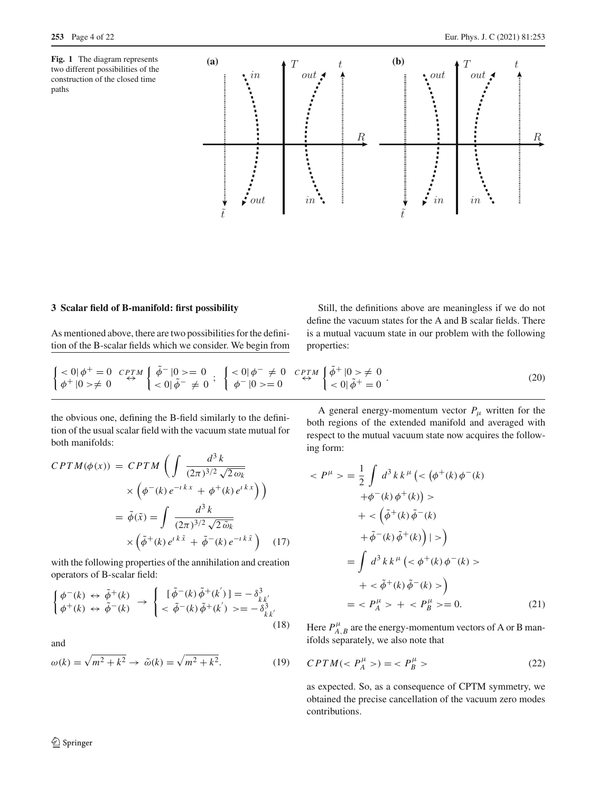<span id="page-3-1"></span>**Fig. 1** The diagram represents two different possibilities of the construction of the closed time paths



# <span id="page-3-0"></span>**3 Scalar field of B-manifold: first possibility**

As mentioned above, there are two possibilities for the definition of the B-scalar fields which we consider. We begin from

Still, the definitions above are meaningless if we do not define the vacuum states for the A and B scalar fields. There is a mutual vacuum state in our problem with the following properties:

$$
\begin{cases}\n<0|\phi^{+}=0 \quad \mathit{CPTM} \\
\phi^{+}|0\rangle \neq 0\n\end{cases}\n\overset{\tilde{\phi}^{-}}{\leftrightarrow}\n\begin{cases}\n0 \geq 0 \\
<0|\tilde{\phi}^{-}\neq 0\n\end{cases};\n\begin{cases}\n<0|\phi^{-}\neq 0 \quad \mathit{CPTM} \\
\phi^{-}|0\rangle = 0\n\end{cases}\n\overset{\tilde{\phi}^{+}}{\leftrightarrow}\n\begin{cases}\n0 \geq \neq 0 \\
<0|\tilde{\phi}^{+}=0\n\end{cases}.\n\tag{20}
$$

the obvious one, defining the B-field similarly to the definition of the usual scalar field with the vacuum state mutual for both manifolds:

$$
CPTM(\phi(x)) = CPTM\left(\int \frac{d^3k}{(2\pi)^{3/2}\sqrt{2\omega_k}}\right)
$$

$$
\times \left(\phi^-(k)e^{-i kx} + \phi^+(k)e^{i kx}\right)\right)
$$

$$
= \tilde{\phi}(\tilde{x}) = \int \frac{d^3k}{(2\pi)^{3/2}\sqrt{2\tilde{\omega}_k}}\right)
$$

$$
\times \left(\tilde{\phi}^+(k)e^{i k\tilde{x}} + \tilde{\phi}^-(k)e^{-i k\tilde{x}}\right) \quad (17)
$$

with the following properties of the annihilation and creation operators of B-scalar field:

<span id="page-3-2"></span>
$$
\begin{cases}\n\phi^{-}(k) \leftrightarrow \tilde{\phi}^{+}(k) \\
\phi^{+}(k) \leftrightarrow \tilde{\phi}^{-}(k)\n\end{cases}\n\rightarrow\n\begin{cases}\n[\tilde{\phi}^{-}(k)\tilde{\phi}^{+}(k')] = -\delta^{3}_{k k'} \\
\lt \tilde{\phi}^{-}(k)\tilde{\phi}^{+}(k') \geq -\delta^{3}_{k k'}\n\end{cases}
$$
\n(18)

and

$$
\omega(k) = \sqrt{m^2 + k^2} \rightarrow \tilde{\omega}(k) = \sqrt{m^2 + k^2}.
$$
 (19)

A general energy-momentum vector  $P_\mu$  written for the both regions of the extended manifold and averaged with respect to the mutual vacuum state now acquires the following form:

$$
\langle P^{\mu} \rangle = \frac{1}{2} \int d^{3}k k^{\mu} \left( \langle \phi^{+}(k) \phi^{-}(k) \right. \\ + \phi^{-}(k) \phi^{+}(k) \right) \\ + \langle \tilde{\phi}^{+}(k) \tilde{\phi}^{-}(k) \right. \\ + \tilde{\phi}^{-}(k) \tilde{\phi}^{+}(k) \Big| > \\ = \int d^{3}k k^{\mu} \left( \langle \phi^{+}(k) \phi^{-}(k) \rangle \right. \\ + \langle \tilde{\phi}^{+}(k) \tilde{\phi}^{-}(k) \rangle \\ + \langle \tilde{\phi}^{+}(k) \tilde{\phi}^{-}(k) \rangle \\ = \langle P_{A}^{\mu} \rangle + \langle P_{B}^{\mu} \rangle = 0. \tag{21}
$$

Here  $P_{A,B}^{\mu}$  are the energy-momentum vectors of A or B manifolds separately, we also note that

$$
CPTM( $P_A^{\mu}$ ) =  $P_B^{\mu}$  > (22)
$$

as expected. So, as a consequence of CPTM symmetry, we obtained the precise cancellation of the vacuum zero modes contributions.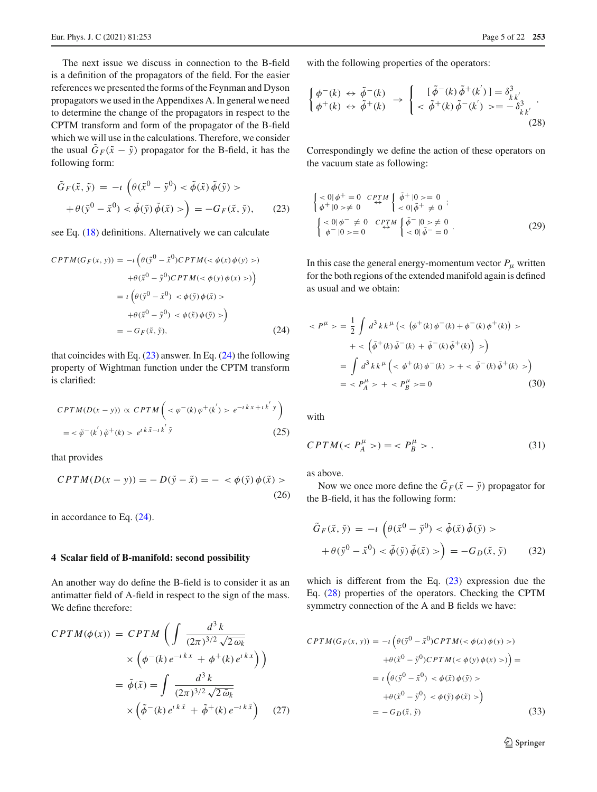The next issue we discuss in connection to the B-field is a definition of the propagators of the field. For the easier references we presented the forms of the Feynman and Dyson propagators we used in the Appendixes A. In general we need to determine the change of the propagators in respect to the CPTM transform and form of the propagator of the B-field which we will use in the calculations. Therefore, we consider the usual  $\tilde{G}_F(\tilde{x} - \tilde{y})$  propagator for the B-field, it has the following form:

<span id="page-4-1"></span>
$$
\tilde{G}_F(\tilde{x}, \tilde{y}) = -\iota \left( \theta(\tilde{x}^0 - \tilde{y}^0) < \tilde{\phi}(\tilde{x}) \tilde{\phi}(\tilde{y}) > \\ + \theta(\tilde{y}^0 - \tilde{x}^0) < \tilde{\phi}(\tilde{y}) \tilde{\phi}(\tilde{x}) > \right) = -G_F(\tilde{x}, \tilde{y}), \tag{23}
$$

see Eq. [\(18\)](#page-3-2) definitions. Alternatively we can calculate

<span id="page-4-2"></span>
$$
CPTM(G_F(x, y)) = -i \left( \theta(\tilde{y}^0 - \tilde{x}^0) CPTM(< \phi(x) \phi(y) > ) + \theta(\tilde{x}^0 - \tilde{y}^0) CPTM(< \phi(y) \phi(x) > ) \right)
$$
  

$$
= i \left( \theta(\tilde{y}^0 - \tilde{x}^0) < \phi(\tilde{y}) \phi(\tilde{x}) > + \theta(\tilde{x}^0 - \tilde{y}^0) < \phi(\tilde{x}) \phi(\tilde{y}) > \right)
$$
  

$$
= -G_F(\tilde{x}, \tilde{y}), \tag{24}
$$

that coincides with Eq.  $(23)$  answer. In Eq.  $(24)$  the following property of Wightman function under the CPTM transform is clarified:

$$
CPTM(D(x - y)) \propto CPTM\left(\n\langle \varphi^-(k)\varphi^+(k') \rangle e^{-i(kx + i k'y)}\n\right)
$$
\n
$$
= \langle \tilde{\varphi}^-(k')\tilde{\varphi}^+(k) \rangle e^{i(k\tilde{x} - i k'\tilde{y})} \tag{25}
$$

that provides

$$
CPTM(D(x - y)) = -D(\tilde{y} - \tilde{x}) = - \langle \phi(\tilde{y})\phi(\tilde{x}) \rangle
$$
\n(26)

in accordance to Eq. [\(24\)](#page-4-2).

#### <span id="page-4-0"></span>**4 Scalar field of B-manifold: second possibility**

An another way do define the B-field is to consider it as an antimatter field of A-field in respect to the sign of the mass. We define therefore:

$$
CPTM(\phi(x)) = CPTM\left(\int \frac{d^3k}{(2\pi)^{3/2}\sqrt{2\omega_k}}\right)
$$

$$
\times \left(\phi^-(k)e^{-i kx} + \phi^+(k)e^{i kx}\right)\right)
$$

$$
= \tilde{\phi}(\tilde{x}) = \int \frac{d^3k}{(2\pi)^{3/2}\sqrt{2\tilde{\omega}_k}}\right)
$$

$$
\times \left(\tilde{\phi}^-(k)e^{i k\tilde{x}} + \tilde{\phi}^+(k)e^{-i k\tilde{x}}\right) \quad (27)
$$

with the following properties of the operators:

<span id="page-4-3"></span>
$$
\begin{cases}\n\phi^{-}(k) \leftrightarrow \tilde{\phi}^{-}(k) \\
\phi^{+}(k) \leftrightarrow \tilde{\phi}^{+}(k)\n\end{cases}\n\rightarrow\n\begin{cases}\n[\tilde{\phi}^{-}(k)\tilde{\phi}^{+}(k')] = \delta_{k\,k'}^{3} \\
\langle \tilde{\phi}^{+}(k)\tilde{\phi}^{-}(k')\rangle = -\delta_{k\,k'}^{3}\n\end{cases}.
$$
\n(28)

Correspondingly we define the action of these operators on the vacuum state as following:

$$
\begin{cases}\n<0|\phi^{+}=0 \quad \mathit{CPTM} \\
\phi^{+}|0\rangle \neq 0 \quad \qquad \downarrow \quad \phi^{+}|0\rangle = 0 \\
<0|\tilde{\phi}^{+}\neq 0 \quad \downarrow \\
\left\{\n\begin{array}{l}\n<0|\phi^{-}\neq 0 \quad \mathit{CPTM} \\
\phi^{-}|0\rangle = 0\n\end{array}\n\right\} \stackrel{\pi}{\rightarrow} 0 \quad \downarrow \quad \phi^{-}|0\rangle \neq 0 \\
<0|\tilde{\phi}^{-}=0\n\end{cases} \tag{29}
$$

In this case the general energy-momentum vector  $P_\mu$  written for the both regions of the extended manifold again is defined as usual and we obtain:

$$
\langle P^{\mu} \rangle = \frac{1}{2} \int d^{3}k k^{\mu} \left( \langle \phi^{+}(k) \phi^{-}(k) + \phi^{-}(k) \phi^{+}(k) \rangle \right) \rangle
$$
  
+ 
$$
\langle \tilde{\phi}^{+}(k) \tilde{\phi}^{-}(k) + \tilde{\phi}^{-}(k) \tilde{\phi}^{+}(k) \rangle \rangle
$$
  
= 
$$
\int d^{3}k k^{\mu} \left( \langle \phi^{+}(k) \phi^{-}(k) \rangle + \langle \tilde{\phi}^{-}(k) \tilde{\phi}^{+}(k) \rangle \right)
$$
  
= 
$$
\langle P_{A}^{\mu} \rangle + \langle P_{B}^{\mu} \rangle = 0
$$
(30)

with

$$
CPTM()=~.
$$
\n(31)

as above.

Now we once more define the  $\tilde{G}_F(\tilde{x} - \tilde{y})$  propagator for the B-field, it has the following form:

<span id="page-4-4"></span>
$$
\tilde{G}_F(\tilde{x}, \tilde{y}) = -\iota \left( \theta(\tilde{x}^0 - \tilde{y}^0) < \tilde{\phi}(\tilde{x}) \, \tilde{\phi}(\tilde{y}) > \\ + \theta(\tilde{y}^0 - \tilde{x}^0) < \tilde{\phi}(\tilde{y}) \, \tilde{\phi}(\tilde{x}) > \right) = -G_D(\tilde{x}, \tilde{y}) \tag{32}
$$

which is different from the Eq.  $(23)$  expression due the Eq. [\(28\)](#page-4-3) properties of the operators. Checking the CPTM symmetry connection of the A and B fields we have:

<span id="page-4-5"></span>
$$
CPTM(G_F(x, y)) = -i \left( \theta(\tilde{y}^0 - \tilde{x}^0) CPTM( $\phi(x) \phi(y)$ )\right)
$$

$$
+ \theta(\tilde{x}^0 - \tilde{y}^0) CPTM( $\phi(y) \phi(x)$ )\right) =
$$

$$
= i \left( \theta(\tilde{y}^0 - \tilde{x}^0) < \phi(\tilde{x}) \phi(\tilde{y}) \right)
$$

$$
+ \theta(\tilde{x}^0 - \tilde{y}^0) < \phi(\tilde{y}) \phi(\tilde{x})>
$$

$$
= -G_D(\tilde{x}, \tilde{y}) \tag{33}
$$

<sup>2</sup> Springer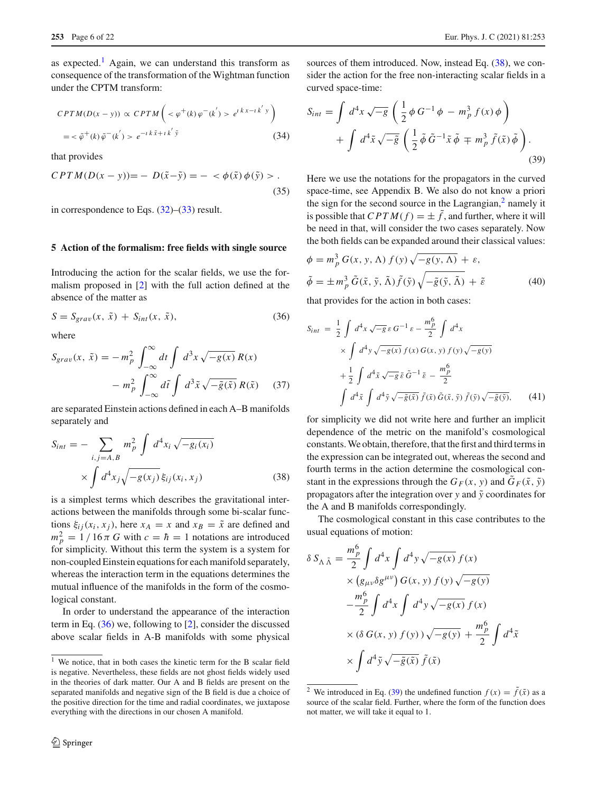as expected.<sup>[1](#page-5-1)</sup> Again, we can understand this transform as consequence of the transformation of the Wightman function under the CPTM transform:

$$
CPTM(D(x - y)) \propto CPTM\left(\langle \varphi^+(k)\varphi^-(k') \rangle e^{i(kx - i k')y}\right)
$$
  
=  $\langle \tilde{\varphi}^+(k)\tilde{\varphi}^-(k') \rangle e^{-i(k\tilde{x} + i k'\tilde{y})}$  (34)

that provides

<span id="page-5-8"></span>
$$
CPTM(D(x - y)) = -D(\tilde{x} - \tilde{y}) = - \langle \phi(\tilde{x}) \phi(\tilde{y}) \rangle.
$$
\n(35)

in correspondence to Eqs.  $(32)$ – $(33)$  result.

#### <span id="page-5-0"></span>**5 Action of the formalism: free fields with single source**

Introducing the action for the scalar fields, we use the formalism proposed in [\[2\]](#page-19-1) with the full action defined at the absence of the matter as

<span id="page-5-2"></span>
$$
S = S_{grav}(x, \tilde{x}) + S_{int}(x, \tilde{x}), \qquad (36)
$$

where

<span id="page-5-10"></span>
$$
S_{grav}(x, \tilde{x}) = -m_p^2 \int_{-\infty}^{\infty} dt \int d^3x \sqrt{-g(x)} R(x)
$$

$$
-m_p^2 \int_{-\infty}^{\infty} d\tilde{t} \int d^3\tilde{x} \sqrt{-\tilde{g}(\tilde{x})} R(\tilde{x}) \qquad (37)
$$

are separated Einstein actions defined in each A–B manifolds separately and

<span id="page-5-3"></span>
$$
S_{int} = -\sum_{i,j=A,B} m_p^2 \int d^4 x_i \sqrt{-g_i(x_i)}
$$
  
 
$$
\times \int d^4 x_j \sqrt{-g(x_j)} \xi_{ij}(x_i, x_j)
$$
 (38)

is a simplest terms which describes the gravitational interactions between the manifolds through some bi-scalar functions  $\xi_{ij}(x_i, x_j)$ , here  $x_A = x$  and  $x_B = \tilde{x}$  are defined and  $m_p^2 = 1 / 16 \pi G$  with  $c = \hbar = 1$  notations are introduced for simplicity. Without this term the system is a system for non-coupled Einstein equations for each manifold separately, whereas the interaction term in the equations determines the mutual influence of the manifolds in the form of the cosmological constant.

In order to understand the appearance of the interaction term in Eq. [\(36\)](#page-5-2) we, following to [\[2](#page-19-1)], consider the discussed above scalar fields in A-B manifolds with some physical

sources of them introduced. Now, instead Eq.  $(38)$ , we consider the action for the free non-interacting scalar fields in a curved space-time:

<span id="page-5-5"></span>
$$
S_{int} = \int d^4x \sqrt{-g} \left( \frac{1}{2} \phi G^{-1} \phi - m_p^3 f(x) \phi \right) + \int d^4\tilde{x} \sqrt{-\tilde{g}} \left( \frac{1}{2} \tilde{\phi} \tilde{G}^{-1} \tilde{x} \tilde{\phi} \mp m_p^3 \tilde{f}(\tilde{x}) \tilde{\phi} \right).
$$
\n(39)

Here we use the notations for the propagators in the curved space-time, see Appendix B. We also do not know a priori the sign for the second source in the Lagrangian, $<sup>2</sup>$  namely it</sup> is possible that  $CPTM(f) = \pm \tilde{f}$ , and further, where it will be need in that, will consider the two cases separately. Now the both fields can be expanded around their classical values:

<span id="page-5-9"></span>
$$
\phi = m_p^3 G(x, y, \Lambda) f(y) \sqrt{-g(y, \Lambda)} + \varepsilon,
$$
  

$$
\tilde{\phi} = \pm m_p^3 \tilde{G}(\tilde{x}, \tilde{y}, \tilde{\Lambda}) \tilde{f}(\tilde{y}) \sqrt{-\tilde{g}(\tilde{y}, \tilde{\Lambda})} + \tilde{\varepsilon}
$$
 (40)

that provides for the action in both cases:

<span id="page-5-6"></span>
$$
S_{int} = \frac{1}{2} \int d^4x \sqrt{-g} \,\varepsilon \, G^{-1} \,\varepsilon - \frac{m_p^6}{2} \int d^4x
$$
  
 
$$
\times \int d^4y \sqrt{-g(x)} \, f(x) \, G(x, y) \, f(y) \sqrt{-g(y)}
$$
  
 
$$
+ \frac{1}{2} \int d^4\tilde{x} \sqrt{-g} \,\tilde{\varepsilon} \, \tilde{G}^{-1} \,\tilde{\varepsilon} - \frac{m_p^6}{2}
$$
  
\n
$$
\int d^4\tilde{x} \int d^4\tilde{y} \sqrt{-\tilde{g}(\tilde{x})} \, \tilde{f}(\tilde{x}) \, \tilde{G}(\tilde{x}, \tilde{y}) \, \tilde{f}(\tilde{y}) \sqrt{-\tilde{g}(\tilde{y})}, \qquad (41)
$$

for simplicity we did not write here and further an implicit dependence of the metric on the manifold's cosmological constants. We obtain, therefore, that the first and third terms in the expression can be integrated out, whereas the second and fourth terms in the action determine the cosmological constant in the expressions through the  $G_F(x, y)$  and  $\tilde{G}_F(\tilde{x}, \tilde{y})$ propagators after the integration over  $y$  and  $\tilde{y}$  coordinates for the A and B manifolds correspondingly.

The cosmological constant in this case contributes to the usual equations of motion:

<span id="page-5-7"></span>
$$
\delta S_{\Lambda \tilde{\Lambda}} = \frac{m_p^6}{2} \int d^4 x \int d^4 y \sqrt{-g(x)} f(x)
$$
  
 
$$
\times (g_{\mu\nu} \delta g^{\mu\nu}) G(x, y) f(y) \sqrt{-g(y)}
$$
  
 
$$
- \frac{m_p^6}{2} \int d^4 x \int d^4 y \sqrt{-g(x)} f(x)
$$
  
 
$$
\times (\delta G(x, y) f(y)) \sqrt{-g(y)} + \frac{m_p^6}{2} \int d^4 \tilde{x}
$$
  
 
$$
\times \int d^4 \tilde{y} \sqrt{-\tilde{g}(\tilde{x})} \tilde{f}(\tilde{x})
$$

<span id="page-5-1"></span><sup>1</sup> We notice, that in both cases the kinetic term for the B scalar field is negative. Nevertheless, these fields are not ghost fields widely used in the theories of dark matter. Our A and B fields are present on the separated manifolds and negative sign of the B field is due a choice of the positive direction for the time and radial coordinates, we juxtapose everything with the directions in our chosen A manifold.

<span id="page-5-4"></span><sup>&</sup>lt;sup>2</sup> We introduced in Eq. [\(39\)](#page-5-5) the undefined function  $f(x) = \tilde{f}(\tilde{x})$  as a source of the scalar field. Further, where the form of the function does not matter, we will take it equal to 1.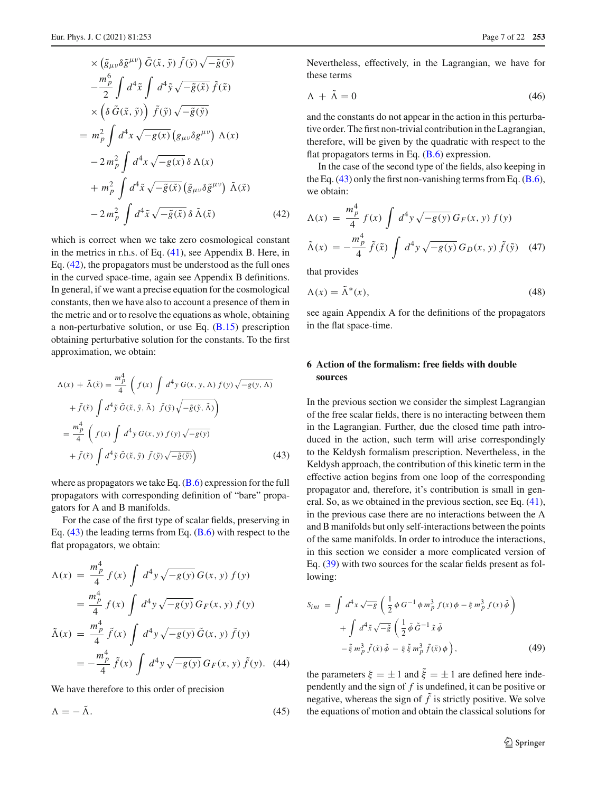$$
\times (\tilde{g}_{\mu\nu}\delta\tilde{g}^{\mu\nu}) \tilde{G}(\tilde{x}, \tilde{y}) \tilde{f}(\tilde{y}) \sqrt{-\tilde{g}(\tilde{y})} \n- \frac{m_p^6}{2} \int d^4 \tilde{x} \int d^4 \tilde{y} \sqrt{-\tilde{g}(\tilde{x})} \tilde{f}(\tilde{x}) \n\times (\delta \tilde{G}(\tilde{x}, \tilde{y})) \tilde{f}(\tilde{y}) \sqrt{-\tilde{g}(\tilde{y})} \n= m_p^2 \int d^4 x \sqrt{-g(x)} (g_{\mu\nu}\delta g^{\mu\nu}) \Lambda(x) \n- 2 m_p^2 \int d^4 x \sqrt{-g(x)} \delta \Lambda(x) \n+ m_p^2 \int d^4 \tilde{x} \sqrt{-\tilde{g}(\tilde{x})} (\tilde{g}_{\mu\nu}\delta\tilde{g}^{\mu\nu}) \tilde{\Lambda}(\tilde{x}) \n- 2 m_p^2 \int d^4 \tilde{x} \sqrt{-\tilde{g}(\tilde{x})} \delta \tilde{\Lambda}(\tilde{x})
$$
\n(42)

which is correct when we take zero cosmological constant in the metrics in r.h.s. of Eq. [\(41\)](#page-5-6), see Appendix B. Here, in Eq. [\(42\)](#page-5-7), the propagators must be understood as the full ones in the curved space-time, again see Appendix B definitions. In general, if we want a precise equation for the cosmological constants, then we have also to account a presence of them in the metric and or to resolve the equations as whole, obtaining a non-perturbative solution, or use Eq. [\(B.15\)](#page-19-13) prescription obtaining perturbative solution for the constants. To the first approximation, we obtain:

<span id="page-6-1"></span>
$$
\Lambda(x) + \tilde{\Lambda}(\tilde{x}) = \frac{m_{\tilde{p}}^4}{4} \left( f(x) \int d^4 y G(x, y, \Lambda) f(y) \sqrt{-g(y, \Lambda)} \right.\left. + \tilde{f}(\tilde{x}) \int d^4 \tilde{y} \tilde{G}(\tilde{x}, \tilde{y}, \tilde{\Lambda}) \tilde{f}(\tilde{y}) \sqrt{-\tilde{g}(\tilde{y}, \tilde{\Lambda})} \right)\n= \frac{m_p^4}{4} \left( f(x) \int d^4 y G(x, y) f(y) \sqrt{-g(y)} \right.\left. + \tilde{f}(\tilde{x}) \int d^4 \tilde{y} \tilde{G}(\tilde{x}, \tilde{y}) \tilde{f}(\tilde{y}) \sqrt{-\tilde{g}(\tilde{y})} \right)
$$
\n(43)

where as propagators we take Eq.  $(B.6)$  expression for the full propagators with corresponding definition of "bare" propagators for A and B manifolds.

For the case of the first type of scalar fields, preserving in Eq.  $(43)$  the leading terms from Eq.  $(\underline{B.6})$  with respect to the flat propagators, we obtain:

<span id="page-6-3"></span>
$$
\Lambda(x) = \frac{m_p^4}{4} f(x) \int d^4 y \sqrt{-g(y)} G(x, y) f(y)
$$
  
= 
$$
\frac{m_p^4}{4} f(x) \int d^4 y \sqrt{-g(y)} G_F(x, y) f(y)
$$
  

$$
\tilde{\Lambda}(x) = \frac{m_p^4}{4} \tilde{f}(x) \int d^4 y \sqrt{-g(y)} \tilde{G}(x, y) \tilde{f}(y)
$$
  
= 
$$
-\frac{m_p^4}{4} \tilde{f}(x) \int d^4 y \sqrt{-g(y)} G_F(x, y) \tilde{f}(y).
$$
 (44)

We have therefore to this order of precision

$$
\Lambda = -\tilde{\Lambda}.\tag{45}
$$

Nevertheless, effectively, in the Lagrangian, we have for these terms

$$
\Lambda + \tilde{\Lambda} = 0 \tag{46}
$$

and the constants do not appear in the action in this perturbative order. The first non-trivial contribution in the Lagrangian, therefore, will be given by the quadratic with respect to the flat propagators terms in Eq.  $(B.6)$  expression.

In the case of the second type of the fields, also keeping in the Eq.  $(43)$  only the first non-vanishing terms from Eq.  $(B.6)$ , we obtain:

<span id="page-6-4"></span>
$$
\Lambda(x) = \frac{m_p^4}{4} f(x) \int d^4 y \sqrt{-g(y)} G_F(x, y) f(y)
$$

$$
\tilde{\Lambda}(x) = -\frac{m_p^4}{4} \tilde{f}(\tilde{x}) \int d^4 y \sqrt{-g(y)} G_D(x, y) \tilde{f}(\tilde{y}) \quad (47)
$$

that provides

$$
\Lambda(x) = \tilde{\Lambda}^*(x),\tag{48}
$$

see again Appendix A for the definitions of the propagators in the flat space-time.

# <span id="page-6-0"></span>**6 Action of the formalism: free fields with double sources**

In the previous section we consider the simplest Lagrangian of the free scalar fields, there is no interacting between them in the Lagrangian. Further, due the closed time path introduced in the action, such term will arise correspondingly to the Keldysh formalism prescription. Nevertheless, in the Keldysh approach, the contribution of this kinetic term in the effective action begins from one loop of the corresponding propagator and, therefore, it's contribution is small in general. So, as we obtained in the previous section, see Eq. [\(41\)](#page-5-6), in the previous case there are no interactions between the A and B manifolds but only self-interactions between the points of the same manifolds. In order to introduce the interactions, in this section we consider a more complicated version of Eq. [\(39\)](#page-5-5) with two sources for the scalar fields present as following:

<span id="page-6-2"></span>
$$
S_{int} = \int d^4x \sqrt{-g} \left( \frac{1}{2} \phi G^{-1} \phi m_p^3 f(x) \phi - \xi m_p^3 f(x) \tilde{\phi} \right)
$$

$$
+ \int d^4 \tilde{x} \sqrt{-\tilde{g}} \left( \frac{1}{2} \tilde{\phi} \tilde{G}^{-1} \tilde{x} \tilde{\phi} \right)
$$

$$
- \tilde{\xi} m_p^3 \tilde{f}(\tilde{x}) \tilde{\phi} - \xi \tilde{\xi} m_p^3 \tilde{f}(\tilde{x}) \phi \right), \qquad (49)
$$

the parameters  $\xi = \pm 1$  and  $\xi = \pm 1$  are defined here independently and the sign of *f* is undefined, it can be positive or negative, whereas the sign of  $\tilde{f}$  is strictly positive. We solve the equations of motion and obtain the classical solutions for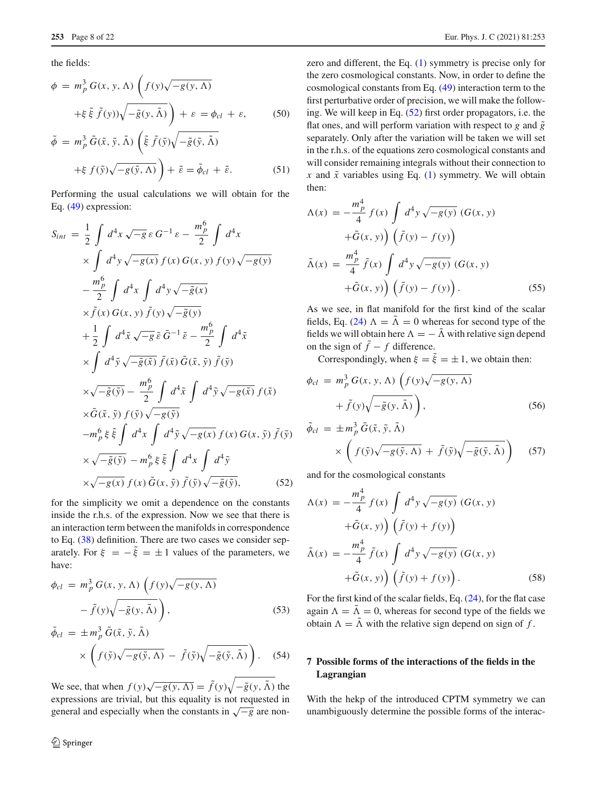the fields:

$$
\phi = m_p^3 G(x, y, \Lambda) \left( f(y) \sqrt{-g(y, \Lambda)} + \xi \tilde{\xi} \tilde{f}(y) \sqrt{-\tilde{g}(y, \tilde{\Lambda})} \right) + \varepsilon = \phi_{cl} + \varepsilon, \qquad (50)
$$

$$
\tilde{\phi} = m_p^3 \tilde{G}(\tilde{x}, \tilde{y}, \tilde{\Lambda}) \left( \tilde{\xi} \tilde{f}(\tilde{y}) \sqrt{-\tilde{g}(\tilde{y}, \tilde{\Lambda})} \right) \n+ \xi f(\tilde{y}) \sqrt{-g(\tilde{y}, \Lambda)} \bigg) + \tilde{\varepsilon} = \tilde{\phi}_{cl} + \tilde{\varepsilon}.
$$
\n(51)

Performing the usual calculations we will obtain for the Eq. [\(49\)](#page-6-2) expression:

<span id="page-7-0"></span>
$$
S_{int} = \frac{1}{2} \int d^4x \sqrt{-g} \,\varepsilon \, G^{-1} \, \varepsilon - \frac{m_p^6}{2} \int d^4x
$$
  
\n
$$
\times \int d^4y \sqrt{-g(x)} \, f(x) \, G(x, y) \, f(y) \sqrt{-g(y)}
$$
  
\n
$$
- \frac{m_p^6}{2} \int d^4x \int d^4y \sqrt{-\tilde{g}(x)}
$$
  
\n
$$
\times \tilde{f}(x) \, G(x, y) \, \tilde{f}(y) \sqrt{-\tilde{g}(y)}
$$
  
\n
$$
+ \frac{1}{2} \int d^4\tilde{x} \sqrt{-g} \, \tilde{\varepsilon} \, \tilde{G}^{-1} \, \tilde{\varepsilon} - \frac{m_p^6}{2} \int d^4\tilde{x}
$$
  
\n
$$
\times \int d^4\tilde{y} \sqrt{-\tilde{g}(\tilde{x})} \, \tilde{f}(\tilde{x}) \, \tilde{G}(\tilde{x}, \tilde{y}) \, \tilde{f}(\tilde{y})
$$
  
\n
$$
\times \sqrt{-\tilde{g}(\tilde{y})} - \frac{m_p^6}{2} \int d^4\tilde{x} \int d^4\tilde{y} \sqrt{-g(\tilde{x})} \, f(\tilde{x})
$$
  
\n
$$
\times \tilde{G}(\tilde{x}, \tilde{y}) \, f(\tilde{y}) \sqrt{-g(\tilde{y})}
$$
  
\n
$$
-m_p^6 \, \xi \, \tilde{\xi} \int d^4x \int d^4\tilde{y} \sqrt{-g(x)} \, f(x) \, G(x, \tilde{y}) \, \tilde{f}(\tilde{y})
$$
  
\n
$$
\times \sqrt{-\tilde{g}(\tilde{y})} - m_p^6 \, \xi \, \tilde{\xi} \int d^4x \int d^4\tilde{y}
$$
  
\n
$$
\times \sqrt{-g(x)} \, f(x) \, \tilde{G}(x, \tilde{y}) \, \tilde{f}(\tilde{y}) \sqrt{-\tilde{g}(\tilde{y})}, \qquad (52)
$$

for the simplicity we omit a dependence on the constants inside the r.h.s. of the expression. Now we see that there is an interaction term between the manifolds in correspondence to Eq. [\(38\)](#page-5-3) definition. There are two cases we consider separately. For  $\xi = -\tilde{\xi} = \pm 1$  values of the parameters, we have:

$$
\phi_{cl} = m_p^3 G(x, y, \Lambda) \left( f(y) \sqrt{-g(y, \Lambda)} - \tilde{f}(y) \sqrt{-\tilde{g}(y, \tilde{\Lambda})} \right),
$$
\n(53)

$$
\tilde{\phi}_{cl} = \pm m_p^3 \tilde{G}(\tilde{x}, \tilde{y}, \tilde{\Lambda}) \times \left( f(\tilde{y}) \sqrt{-g(\tilde{y}, \Lambda)} - \tilde{f}(\tilde{y}) \sqrt{-\tilde{g}(\tilde{y}, \tilde{\Lambda})} \right). \quad (54)
$$

We see, that when  $f(y)\sqrt{-g(y,\Lambda)} = \tilde{f}(y)\sqrt{-\tilde{g}(y,\tilde{\Lambda})}$  the expressions are trivial, but this equality is not requested in general and especially when the constants in √−*<sup>g</sup>* are nonzero and different, the Eq. [\(1\)](#page-0-0) symmetry is precise only for the zero cosmological constants. Now, in order to define the cosmological constants from Eq. [\(49\)](#page-6-2) interaction term to the first perturbative order of precision, we will make the following. We will keep in Eq. [\(52\)](#page-7-0) first order propagators, i.e. the flat ones, and will perform variation with respect to  $g$  and  $\tilde{g}$ separately. Only after the variation will be taken we will set in the r.h.s. of the equations zero cosmological constants and will consider remaining integrals without their connection to  $x$  and  $\tilde{x}$  variables using Eq. [\(1\)](#page-0-0) symmetry. We will obtain then:

<span id="page-7-1"></span>
$$
\Lambda(x) = -\frac{m_p^4}{4} f(x) \int d^4 y \sqrt{-g(y)} (G(x, y) + \tilde{G}(x, y)) \left( \tilde{f}(y) - f(y) \right)
$$

$$
\tilde{\Lambda}(x) = \frac{m_p^4}{4} \tilde{f}(x) \int d^4 y \sqrt{-g(y)} (G(x, y) + \tilde{G}(x, y)) \left( \tilde{f}(y) - f(y) \right). \tag{55}
$$

As we see, in flat manifold for the first kind of the scalar fields, Eq. [\(24\)](#page-4-2)  $\Lambda = \tilde{\Lambda} = 0$  whereas for second type of the fields we will obtain here  $\Lambda = -\tilde{\Lambda}$  with relative sign depend on the sign of  $\tilde{f} - f$  difference.

Correspondingly, when  $\xi = \tilde{\xi} = \pm 1$ , we obtain then:

<span id="page-7-3"></span>
$$
\phi_{cl} = m_p^3 G(x, y, \Lambda) \left( f(y) \sqrt{-g(y, \Lambda)} + \tilde{f}(y) \sqrt{-\tilde{g}(y, \tilde{\Lambda})} \right),
$$
  
\n
$$
\tilde{\phi}_{cl} = \pm m_p^3 \tilde{G}(\tilde{x}, \tilde{y}, \tilde{\Lambda})
$$
\n(56)

$$
\times \left( f(\tilde{y})\sqrt{-g(\tilde{y},\Lambda)} + \tilde{f}(\tilde{y})\sqrt{-\tilde{g}(\tilde{y},\tilde{\Lambda})} \right) \quad (57)
$$

and for the cosmological constants

<span id="page-7-2"></span>
$$
\Lambda(x) = -\frac{m_p^4}{4} f(x) \int d^4 y \sqrt{-g(y)} (G(x, y) \n+ \tilde{G}(x, y) \Big) (\tilde{f}(y) + f(y)) \n\tilde{\Lambda}(x) = -\frac{m_p^4}{4} \tilde{f}(x) \int d^4 y \sqrt{-g(y)} (G(x, y) \n+ \tilde{G}(x, y) \Big) (\tilde{f}(y) + f(y)).
$$
\n(58)

For the first kind of the scalar fields, Eq. [\(24\)](#page-4-2), for the flat case again  $\Lambda = \tilde{\Lambda} = 0$ , whereas for second type of the fields we obtain  $\Lambda = \tilde{\Lambda}$  with the relative sign depend on sign of f.

# **7 Possible forms of the interactions of the fields in the Lagrangian**

With the hekp of the introduced CPTM symmetry we can unambiguously determine the possible forms of the interac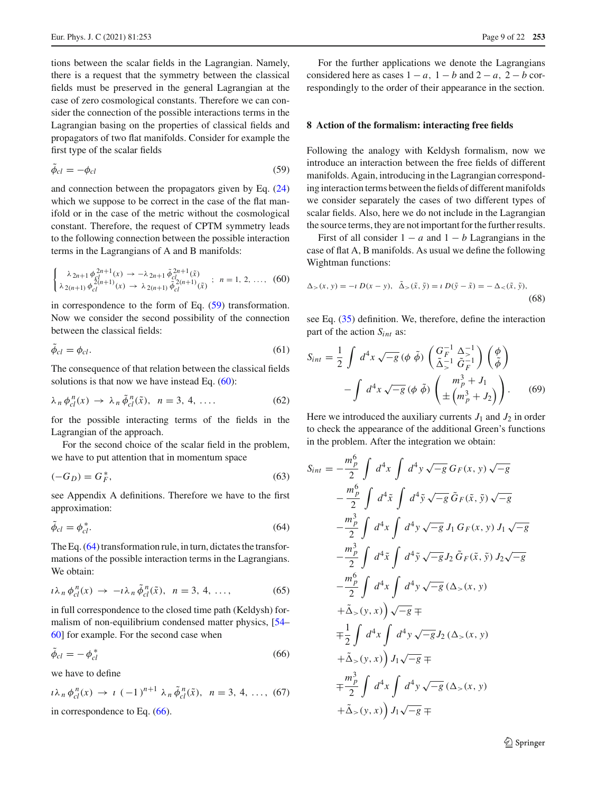tions between the scalar fields in the Lagrangian. Namely, there is a request that the symmetry between the classical fields must be preserved in the general Lagrangian at the case of zero cosmological constants. Therefore we can consider the connection of the possible interactions terms in the Lagrangian basing on the properties of classical fields and propagators of two flat manifolds. Consider for example the first type of the scalar fields

<span id="page-8-1"></span>
$$
\phi_{cl} = -\phi_{cl} \tag{59}
$$

and connection between the propagators given by Eq. [\(24\)](#page-4-2) which we suppose to be correct in the case of the flat manifold or in the case of the metric without the cosmological constant. Therefore, the request of CPTM symmetry leads to the following connection between the possible interaction terms in the Lagrangians of A and B manifolds:

<span id="page-8-2"></span>
$$
\begin{cases} \lambda_{2n+1} \phi_{cl}^{2n+1}(x) \to -\lambda_{2n+1} \tilde{\phi}_{cl}^{2n+1}(\tilde{x}) \\ \lambda_{2(n+1)} \phi_{cl}^{2(n+1)}(x) \to \lambda_{2(n+1)} \tilde{\phi}_{cl}^{2(n+1)}(\tilde{x}) \end{cases}; n = 1, 2, ..., (60)
$$

in correspondence to the form of Eq. [\(59\)](#page-8-1) transformation. Now we consider the second possibility of the connection between the classical fields:

$$
\phi_{cl} = \phi_{cl}.\tag{61}
$$

The consequence of that relation between the classical fields solutions is that now we have instead Eq. [\(60\)](#page-8-2):

<span id="page-8-6"></span>
$$
\lambda_n \phi_{cl}^n(x) \to \lambda_n \tilde{\phi}_{cl}^n(\tilde{x}), \quad n = 3, 4, \dots
$$
 (62)

for the possible interacting terms of the fields in the Lagrangian of the approach.

For the second choice of the scalar field in the problem, we have to put attention that in momentum space

$$
(-G_D) = G_F^*,\tag{63}
$$

see Appendix A definitions. Therefore we have to the first approximation:

<span id="page-8-3"></span>
$$
\tilde{\phi}_{cl} = \phi_{cl}^*.\tag{64}
$$

The Eq. [\(64\)](#page-8-3) transformation rule, in turn, dictates the transformations of the possible interaction terms in the Lagrangians. We obtain:

<span id="page-8-7"></span>
$$
\iota \lambda_n \phi_{cl}^n(x) \to -\iota \lambda_n \tilde{\phi}_{cl}^n(\tilde{x}), \ \ n = 3, 4, \ \ldots, \tag{65}
$$

in full correspondence to the closed time path (Keldysh) formalism of non-equilibrium condensed matter physics, [\[54](#page-20-6)– [60\]](#page-20-7) for example. For the second case when

<span id="page-8-4"></span>
$$
\tilde{\phi}_{cl} = -\phi_{cl}^* \tag{66}
$$

we have to define

<span id="page-8-8"></span>
$$
i\lambda_n \phi_{cl}^n(x) \to i (-1)^{n+1} \lambda_n \tilde{\phi}_{cl}^n(\tilde{x}), \quad n = 3, 4, ..., (67)
$$

in correspondence to Eq. [\(66\)](#page-8-4).

For the further applications we denote the Lagrangians considered here as cases  $1 - a$ ,  $1 - b$  and  $2 - a$ ,  $2 - b$  correspondingly to the order of their appearance in the section.

#### <span id="page-8-0"></span>**8 Action of the formalism: interacting free fields**

Following the analogy with Keldysh formalism, now we introduce an interaction between the free fields of different manifolds. Again, introducing in the Lagrangian corresponding interaction terms between the fields of different manifolds we consider separately the cases of two different types of scalar fields. Also, here we do not include in the Lagrangian the source terms, they are not important for the further results.

First of all consider  $1 - a$  and  $1 - b$  Lagrangians in the case of flat A, B manifolds. As usual we define the following Wightman functions:

<span id="page-8-5"></span>
$$
\Delta_{>}(x, y) = -\iota D(x - y), \quad \tilde{\Delta}_{>}(\tilde{x}, \tilde{y}) = \iota D(\tilde{y} - \tilde{x}) = -\Delta_{<}(\tilde{x}, \tilde{y}),
$$
\n(68)

see Eq. [\(35\)](#page-5-8) definition. We, therefore, define the interaction part of the action *Sint* as:

$$
S_{int} = \frac{1}{2} \int d^4x \sqrt{-g} \, (\phi \, \tilde{\phi}) \left( \frac{G_F^{-1}}{\tilde{\Delta}_>^{-1}} \frac{\Delta_{>1}^{-1}}{\tilde{G}_F^{-1}} \right) \left( \frac{\phi}{\tilde{\phi}} \right)
$$

$$
- \int d^4x \sqrt{-g} \, (\phi \, \tilde{\phi}) \left( \frac{m_p^3 + J_1}{\pm \left( m_p^3 + J_2 \right)} \right). \tag{69}
$$

Here we introduced the auxiliary currents  $J_1$  and  $J_2$  in order to check the appearance of the additional Green's functions in the problem. After the integration we obtain:

$$
S_{int} = -\frac{m_p^6}{2} \int d^4x \int d^4y \sqrt{-g} G_F(x, y) \sqrt{-g}
$$
  
\n
$$
-\frac{m_p^6}{2} \int d^4\tilde{x} \int d^4\tilde{y} \sqrt{-g} \tilde{G}_F(\tilde{x}, \tilde{y}) \sqrt{-g}
$$
  
\n
$$
-\frac{m_p^3}{2} \int d^4x \int d^4y \sqrt{-g} J_1 G_F(x, y) J_1 \sqrt{-g}
$$
  
\n
$$
-\frac{m_p^3}{2} \int d^4\tilde{x} \int d^4\tilde{y} \sqrt{-g} J_2 \tilde{G}_F(\tilde{x}, \tilde{y}) J_2 \sqrt{-g}
$$
  
\n
$$
-\frac{m_p^6}{2} \int d^4x \int d^4y \sqrt{-g} (\Delta_>(x, y))
$$
  
\n
$$
+\tilde{\Delta}_>(y, x)) \sqrt{-g} \mp
$$
  
\n
$$
+\tilde{\Delta}_>(y, x)) J_1 \sqrt{-g} \mp
$$
  
\n
$$
+\tilde{\Delta}_>(y, x)) J_1 \sqrt{-g} \mp
$$
  
\n
$$
+\tilde{\Delta}_>(y, x)) J_1 \sqrt{-g} \mp
$$
  
\n
$$
+\tilde{\Delta}_>(y, x)) J_1 \sqrt{-g} \mp
$$
  
\n
$$
+\tilde{\Delta}_>(y, x)) J_1 \sqrt{-g} \mp
$$

<sup>2</sup> Springer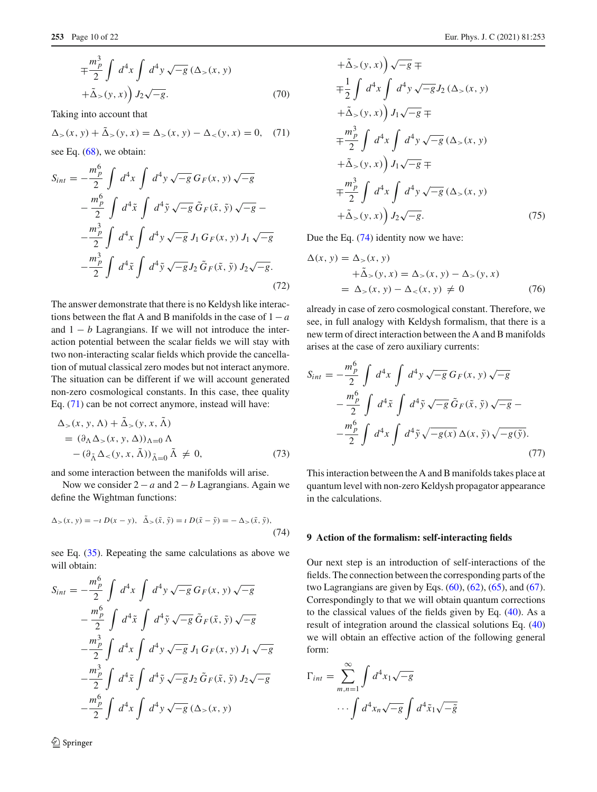$$
\mp \frac{m_p^3}{2} \int d^4x \int d^4y \sqrt{-g} \left(\Delta_>(x, y) + \tilde{\Delta}_>(y, x)\right) J_2 \sqrt{-g}.
$$
\n(70)

Taking into account that

<span id="page-9-1"></span>
$$
\Delta_{>}(x, y) + \tilde{\Delta}_{>}(y, x) = \Delta_{>}(x, y) - \Delta_{<}(y, x) = 0, \quad (71)
$$

see Eq.  $(68)$ , we obtain:

$$
S_{int} = -\frac{m_p^6}{2} \int d^4x \int d^4y \sqrt{-g} \, G_F(x, y) \sqrt{-g} -\frac{m_p^6}{2} \int d^4\tilde{x} \int d^4\tilde{y} \sqrt{-g} \, \tilde{G}_F(\tilde{x}, \tilde{y}) \sqrt{-g} - -\frac{m_p^3}{2} \int d^4x \int d^4y \sqrt{-g} \, J_1 \, G_F(x, y) \, J_1 \sqrt{-g} -\frac{m_p^3}{2} \int d^4\tilde{x} \int d^4\tilde{y} \sqrt{-g} \, J_2 \, \tilde{G}_F(\tilde{x}, \tilde{y}) \, J_2 \sqrt{-g}.
$$
 (72)

The answer demonstrate that there is no Keldysh like interactions between the flat A and B manifolds in the case of 1−*a* and  $1 - b$  Lagrangians. If we will not introduce the interaction potential between the scalar fields we will stay with two non-interacting scalar fields which provide the cancellation of mutual classical zero modes but not interact anymore. The situation can be different if we will account generated non-zero cosmological constants. In this case, thee quality Eq. [\(71\)](#page-9-1) can be not correct anymore, instead will have:

$$
\Delta_{>}(x, y, \Lambda) + \Delta_{>}(y, x, \Lambda)
$$
  
=  $(\partial_{\Lambda} \Delta_{>}(x, y, \Lambda))_{\Lambda=0} \Lambda$   
 $-(\partial_{\tilde{\Lambda}} \Delta_{<}(y, x, \tilde{\Lambda}))_{\tilde{\Lambda}=0} \tilde{\Lambda} \neq 0,$  (73)

and some interaction between the manifolds will arise.

Now we consider 2 − *a* and 2 − *b* Lagrangians. Again we define the Wightman functions:

<span id="page-9-2"></span>
$$
\Delta_{>}(x, y) = -\iota D(x - y), \quad \tilde{\Delta}_{>}(\tilde{x}, \tilde{y}) = \iota D(\tilde{x} - \tilde{y}) = -\Delta_{>}(\tilde{x}, \tilde{y}),\tag{74}
$$

see Eq. [\(35\)](#page-5-8). Repeating the same calculations as above we will obtain:

$$
S_{int} = -\frac{m_p^6}{2} \int d^4x \int d^4y \sqrt{-g} G_F(x, y) \sqrt{-g}
$$
  

$$
-\frac{m_p^6}{2} \int d^4\tilde{x} \int d^4\tilde{y} \sqrt{-g} \tilde{G}_F(\tilde{x}, \tilde{y}) \sqrt{-g}
$$
  

$$
-\frac{m_p^3}{2} \int d^4x \int d^4y \sqrt{-g} J_1 G_F(x, y) J_1 \sqrt{-g}
$$
  

$$
-\frac{m_p^3}{2} \int d^4\tilde{x} \int d^4\tilde{y} \sqrt{-g} J_2 \tilde{G}_F(\tilde{x}, \tilde{y}) J_2 \sqrt{-g}
$$
  

$$
-\frac{m_p^6}{2} \int d^4x \int d^4y \sqrt{-g} (\Delta_z(x, y))
$$

$$
+\tilde{\Delta}_{>}(y, x)\tilde{\sigma}_{g} =
$$
  
\n
$$
\mp \frac{1}{2} \int d^{4}x \int d^{4}y \sqrt{-g} J_{2}(\Delta_{>}(x, y))
$$
  
\n
$$
+\tilde{\Delta}_{>}(y, x)\tilde{\sigma}_{g} =
$$
  
\n
$$
\mp \frac{m_{p}^{3}}{2} \int d^{4}x \int d^{4}y \sqrt{-g} (\Delta_{>}(x, y))
$$
  
\n
$$
+\tilde{\Delta}_{>}(y, x)\tilde{\sigma}_{g} =
$$
  
\n
$$
\mp \frac{m_{p}^{3}}{2} \int d^{4}x \int d^{4}y \sqrt{-g} (\Delta_{>}(x, y))
$$
  
\n
$$
+\tilde{\Delta}_{>}(y, x)\tilde{\sigma}_{g} =
$$
  
\n
$$
+\tilde{\Delta}_{>}(y, x)\tilde{\sigma}_{g} =
$$
  
\n
$$
+\tilde{\Delta}_{>}(y, x)\tilde{\sigma}_{g} =
$$
  
\n(75)

Due the Eq. [\(74\)](#page-9-2) identity now we have:

<span id="page-9-4"></span>
$$
\Delta(x, y) = \Delta_{>}(x, y)
$$
  
+
$$
\tilde{\Delta}_{>}(y, x) = \Delta_{>}(x, y) - \Delta_{>}(y, x)
$$
  
= 
$$
\Delta_{>}(x, y) - \Delta_{<}(x, y) \neq 0
$$
 (76)

already in case of zero cosmological constant. Therefore, we see, in full analogy with Keldysh formalism, that there is a new term of direct interaction between the A and B manifolds arises at the case of zero auxiliary currents:

$$
S_{int} = -\frac{m_p^6}{2} \int d^4x \int d^4y \sqrt{-g} G_F(x, y) \sqrt{-g}
$$

$$
-\frac{m_p^6}{2} \int d^4\tilde{x} \int d^4\tilde{y} \sqrt{-g} \tilde{G}_F(\tilde{x}, \tilde{y}) \sqrt{-g} -
$$

$$
-\frac{m_p^6}{2} \int d^4x \int d^4\tilde{y} \sqrt{-g(x)} \Delta(x, \tilde{y}) \sqrt{-g(\tilde{y})}.
$$
(77)

This interaction between the A and B manifolds takes place at quantum level with non-zero Keldysh propagator appearance in the calculations.

#### <span id="page-9-0"></span>**9 Action of the formalism: self-interacting fields**

Our next step is an introduction of self-interactions of the fields. The connection between the corresponding parts of the two Lagrangians are given by Eqs.  $(60)$ ,  $(62)$ ,  $(65)$ , and  $(67)$ . Correspondingly to that we will obtain quantum corrections to the classical values of the fields given by Eq. [\(40\)](#page-5-9). As a result of integration around the classical solutions Eq. [\(40\)](#page-5-9) we will obtain an effective action of the following general form:

<span id="page-9-3"></span>
$$
\Gamma_{int} = \sum_{m,n=1}^{\infty} \int d^4 x_1 \sqrt{-g} \cdots \int d^4 x_n \sqrt{-g} \int d^4 \tilde{x}_1 \sqrt{-\tilde{g}}
$$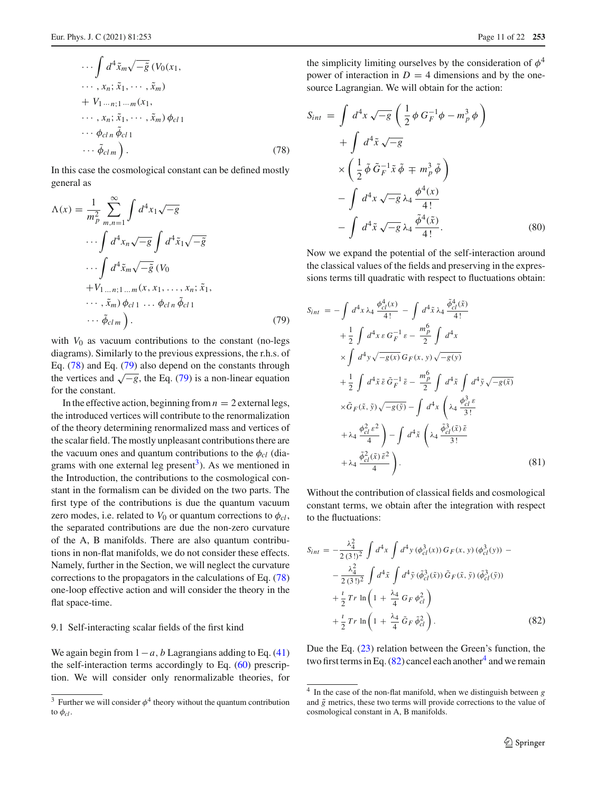$$
\cdots \int d^4 \tilde{x}_m \sqrt{-\tilde{g}} \left( V_0(x_1, \ldots, x_n; \tilde{x}_1, \ldots, \tilde{x}_m) \right. \n+ V_1 \ldots n; 1 \ldots m(x_1, \ldots, x_n; \tilde{x}_1, \ldots, \tilde{x}_m) \phi_{c11} \n\cdots \phi_{c1n} \tilde{\phi}_{c11}
$$
\n(78)

In this case the cosmological constant can be defined mostly general as

<span id="page-10-0"></span>
$$
\Lambda(x) = \frac{1}{m_p^2} \sum_{m,n=1}^{\infty} \int d^4 x_1 \sqrt{-g}
$$
  

$$
\cdots \int d^4 x_n \sqrt{-g} \int d^4 \tilde{x}_1 \sqrt{-\tilde{g}}
$$
  

$$
\cdots \int d^4 \tilde{x}_m \sqrt{-\tilde{g}} (V_0
$$
  

$$
+ V_{1...n;1...m}(x, x_1, ..., x_n; \tilde{x}_1,
$$
  

$$
\cdots, \tilde{x}_m) \phi_{c11} \cdots \phi_{c1n} \tilde{\phi}_{c11}
$$
  

$$
\cdots \tilde{\phi}_{clm} ). \tag{79}
$$

with  $V_0$  as vacuum contributions to the constant (no-legs diagrams). Similarly to the previous expressions, the r.h.s. of Eq. [\(78\)](#page-9-3) and Eq. [\(79\)](#page-10-0) also depend on the constants through the vertices and  $\sqrt{-g}$ , the Eq. [\(79\)](#page-10-0) is a non-linear equation for the constant.

In the effective action, beginning from  $n = 2$  external legs, the introduced vertices will contribute to the renormalization of the theory determining renormalized mass and vertices of the scalar field. The mostly unpleasant contributions there are the vacuum ones and quantum contributions to the  $\phi_{cl}$  (diagrams with one external leg present<sup>3</sup>). As we mentioned in the Introduction, the contributions to the cosmological constant in the formalism can be divided on the two parts. The first type of the contributions is due the quantum vacuum zero modes, i.e. related to  $V_0$  or quantum corrections to  $\phi_{cl}$ , the separated contributions are due the non-zero curvature of the A, B manifolds. There are also quantum contributions in non-flat manifolds, we do not consider these effects. Namely, further in the Section, we will neglect the curvature corrections to the propagators in the calculations of Eq. [\(78\)](#page-9-3) one-loop effective action and will consider the theory in the flat space-time.

## 9.1 Self-interacting scalar fields of the first kind

We again begin from  $1 - a$ , *b* Lagrangians adding to Eq. [\(41\)](#page-5-6) the self-interaction terms accordingly to Eq. [\(60\)](#page-8-2) prescription. We will consider only renormalizable theories, for

the simplicity limiting ourselves by the consideration of  $\phi^4$ power of interaction in  $D = 4$  dimensions and by the onesource Lagrangian. We will obtain for the action:

$$
S_{int} = \int d^4x \sqrt{-g} \left( \frac{1}{2} \phi G_F^{-1} \phi - m_p^3 \phi \right)
$$
  
+ 
$$
\int d^4 \tilde{x} \sqrt{-g}
$$
  

$$
\times \left( \frac{1}{2} \tilde{\phi} \tilde{G}_F^{-1} \tilde{x} \tilde{\phi} \mp m_p^3 \tilde{\phi} \right)
$$
  
- 
$$
\int d^4x \sqrt{-g} \lambda_4 \frac{\phi^4(x)}{4!}
$$
  
- 
$$
\int d^4 \tilde{x} \sqrt{-g} \lambda_4 \frac{\tilde{\phi}^4(\tilde{x})}{4!}.
$$
 (80)

Now we expand the potential of the self-interaction around the classical values of the fields and preserving in the expressions terms till quadratic with respect to fluctuations obtain:

$$
S_{int} = -\int d^4x \,\lambda_4 \, \frac{\phi_{cl}^4(x)}{4!} - \int d^4\tilde{x} \,\lambda_4 \, \frac{\tilde{\phi}_{cl}^4(\tilde{x})}{4!} + \frac{1}{2} \int d^4x \,\varepsilon \, G_F^{-1} \,\varepsilon - \frac{m_p^6}{2} \int d^4x \times \int d^4y \sqrt{-g(x)} \, G_F(x, y) \sqrt{-g(y)} + \frac{1}{2} \int d^4\tilde{x} \,\tilde{\varepsilon} \, \tilde{G}_F^{-1} \,\tilde{\varepsilon} - \frac{m_p^6}{2} \int d^4\tilde{x} \int d^4\tilde{y} \sqrt{-g(\tilde{x})} \times \tilde{G}_F(\tilde{x}, \tilde{y}) \sqrt{-g(\tilde{y})} - \int d^4x \left( \lambda_4 \, \frac{\phi_{cl}^3 \,\varepsilon}{3!} + \lambda_4 \frac{\phi_{cl}^2 \,\varepsilon^2}{4} \right) - \int d^4x \left( \lambda_4 \, \frac{\phi_{cl}^3(\tilde{x}) \,\tilde{\varepsilon}}{3!} + \lambda_4 \, \frac{\tilde{\phi}_{cl}^2(\tilde{x}) \,\tilde{\varepsilon}^2}{4} \right).
$$
\n(81)

Without the contribution of classical fields and cosmological constant terms, we obtain after the integration with respect to the fluctuations:

<span id="page-10-2"></span>
$$
S_{int} = -\frac{\lambda_4^2}{2(3!)^2} \int d^4x \int d^4y \, (\phi_{cl}^3(x)) \, G_F(x, y) \, (\phi_{cl}^3(y)) -
$$

$$
-\frac{\lambda_4^2}{2(3!)^2} \int d^4\tilde{x} \int d^4\tilde{y} \, (\tilde{\phi}_{cl}^3(\tilde{x})) \, \tilde{G}_F(\tilde{x}, \tilde{y}) \, (\tilde{\phi}_{cl}^3(\tilde{y}))
$$

$$
+\frac{i}{2} \, Tr \, \ln\left(1 + \frac{\lambda_4}{4} \, G_F \, \phi_{cl}^2\right)
$$

$$
+\frac{i}{2} \, Tr \, \ln\left(1 + \frac{\lambda_4}{4} \, \tilde{G}_F \, \tilde{\phi}_{cl}^2\right).
$$
 (82)

Due the Eq. [\(23\)](#page-4-1) relation between the Green's function, the two first terms in Eq.  $(82)$  cancel each another<sup>[4](#page-10-3)</sup> and we remain

<span id="page-10-1"></span><sup>&</sup>lt;sup>3</sup> Further we will consider  $\phi^4$  theory without the quantum contribution to  $\phi_{cl}$ .

<span id="page-10-3"></span><sup>4</sup> In the case of the non-flat manifold, when we distinguish between *g* and  $\tilde{g}$  metrics, these two terms will provide corrections to the value of cosmological constant in A, B manifolds.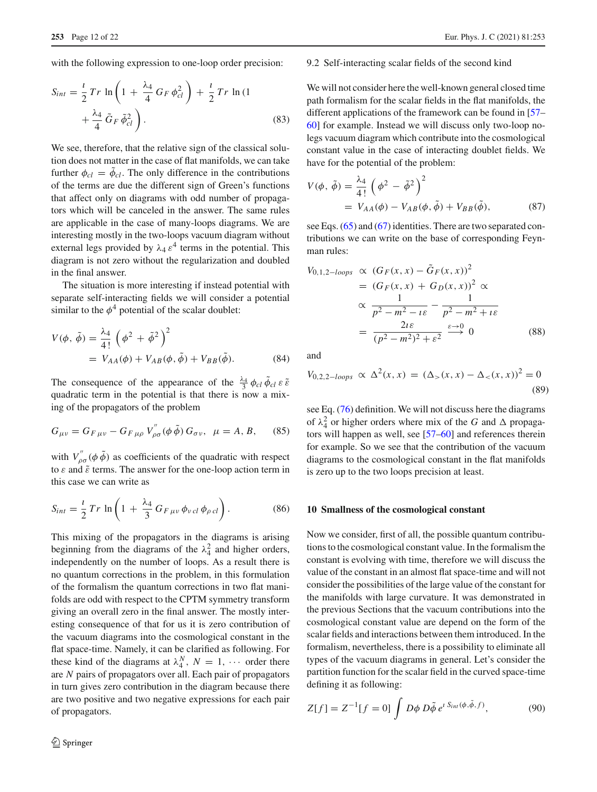with the following expression to one-loop order precision:

$$
S_{int} = \frac{\iota}{2} Tr \ln \left( 1 + \frac{\lambda_4}{4} G_F \phi_{cl}^2 \right) + \frac{\iota}{2} Tr \ln (1 + \frac{\lambda_4}{4} \tilde{G}_F \tilde{\phi}_{cl}^2).
$$
 (83)

We see, therefore, that the relative sign of the classical solution does not matter in the case of flat manifolds, we can take further  $\phi_{cl} = \phi_{cl}$ . The only difference in the contributions of the terms are due the different sign of Green's functions that affect only on diagrams with odd number of propagators which will be canceled in the answer. The same rules are applicable in the case of many-loops diagrams. We are interesting mostly in the two-loops vacuum diagram without external legs provided by  $\lambda_4 \varepsilon^4$  terms in the potential. This diagram is not zero without the regularization and doubled in the final answer.

The situation is more interesting if instead potential with separate self-interacting fields we will consider a potential similar to the  $\phi^4$  potential of the scalar doublet:

$$
V(\phi, \tilde{\phi}) = \frac{\lambda_4}{4!} \left( \phi^2 + \tilde{\phi}^2 \right)^2
$$
  
=  $V_{AA}(\phi) + V_{AB}(\phi, \tilde{\phi}) + V_{BB}(\tilde{\phi}).$  (84)

The consequence of the appearance of the  $\frac{\lambda_4}{3} \phi_{cl} \tilde{\phi}_{cl} \varepsilon \tilde{\varepsilon}$ quadratic term in the potential is that there is now a mixing of the propagators of the problem

$$
G_{\mu\nu} = G_{F\,\mu\nu} - G_{F\,\mu\rho} \, V_{\rho\sigma}''(\phi \,\tilde{\phi}) \, G_{\sigma\nu}, \ \mu = A, B, \qquad (85)
$$

with  $V_{\rho\sigma}^{\prime\prime}$  ( $\phi\tilde{\phi}$ ) as coefficients of the quadratic with respect to  $\varepsilon$  and  $\tilde{\varepsilon}$  terms. The answer for the one-loop action term in this case we can write as

$$
S_{int} = \frac{i}{2} Tr \ln \left( 1 + \frac{\lambda_4}{3} G_{F \mu\nu} \phi_{\nu cl} \phi_{\rho cl} \right). \tag{86}
$$

This mixing of the propagators in the diagrams is arising beginning from the diagrams of the  $\lambda_4^2$  and higher orders, independently on the number of loops. As a result there is no quantum corrections in the problem, in this formulation of the formalism the quantum corrections in two flat manifolds are odd with respect to the CPTM symmetry transform giving an overall zero in the final answer. The mostly interesting consequence of that for us it is zero contribution of the vacuum diagrams into the cosmological constant in the flat space-time. Namely, it can be clarified as following. For these kind of the diagrams at  $\lambda_4^N$ ,  $N = 1, \cdots$  order there are *N* pairs of propagators over all. Each pair of propagators in turn gives zero contribution in the diagram because there are two positive and two negative expressions for each pair of propagators.

#### 9.2 Self-interacting scalar fields of the second kind

We will not consider here the well-known general closed time path formalism for the scalar fields in the flat manifolds, the different applications of the framework can be found in [\[57](#page-20-8)– [60](#page-20-7)] for example. Instead we will discuss only two-loop nolegs vacuum diagram which contribute into the cosmological constant value in the case of interacting doublet fields. We have for the potential of the problem:

$$
V(\phi, \tilde{\phi}) = \frac{\lambda_4}{4!} \left( \phi^2 - \tilde{\phi}^2 \right)^2
$$
  
=  $V_{AA}(\phi) - V_{AB}(\phi, \tilde{\phi}) + V_{BB}(\tilde{\phi}),$  (87)

see Eqs. [\(65\)](#page-8-7) and [\(67\)](#page-8-8) identities. There are two separated contributions we can write on the base of corresponding Feynman rules:

$$
V_{0,1,2-loops} \propto (G_F(x, x) - \tilde{G}_F(x, x))^2
$$
  
=  $(G_F(x, x) + G_D(x, x))^2 \propto$   

$$
\propto \frac{1}{p^2 - m^2 - i\varepsilon} - \frac{1}{p^2 - m^2 + i\varepsilon}
$$
  
= 
$$
\frac{2i\varepsilon}{(p^2 - m^2)^2 + \varepsilon^2} \xrightarrow{\varepsilon \to 0} 0
$$
 (88)

and

$$
V_{0,2,2-loops} \propto \Delta^2(x,x) = (\Delta_{>}(x,x) - \Delta_{<}(x,x))^2 = 0
$$
\n(89)

see Eq. [\(76\)](#page-9-4) definition. We will not discuss here the diagrams of  $\lambda_4^2$  or higher orders where mix of the *G* and  $\Delta$  propagators will happen as well, see [\[57](#page-20-8)[–60](#page-20-7)] and references therein for example. So we see that the contribution of the vacuum diagrams to the cosmological constant in the flat manifolds is zero up to the two loops precision at least.

#### <span id="page-11-0"></span>**10 Smallness of the cosmological constant**

Now we consider, first of all, the possible quantum contributions to the cosmological constant value. In the formalism the constant is evolving with time, therefore we will discuss the value of the constant in an almost flat space-time and will not consider the possibilities of the large value of the constant for the manifolds with large curvature. It was demonstrated in the previous Sections that the vacuum contributions into the cosmological constant value are depend on the form of the scalar fields and interactions between them introduced. In the formalism, nevertheless, there is a possibility to eliminate all types of the vacuum diagrams in general. Let's consider the partition function for the scalar field in the curved space-time defining it as following:

$$
Z[f] = Z^{-1}[f = 0] \int D\phi \, D\tilde{\phi} \, e^{i \, S_{int}(\phi, \tilde{\phi}, f)}, \tag{90}
$$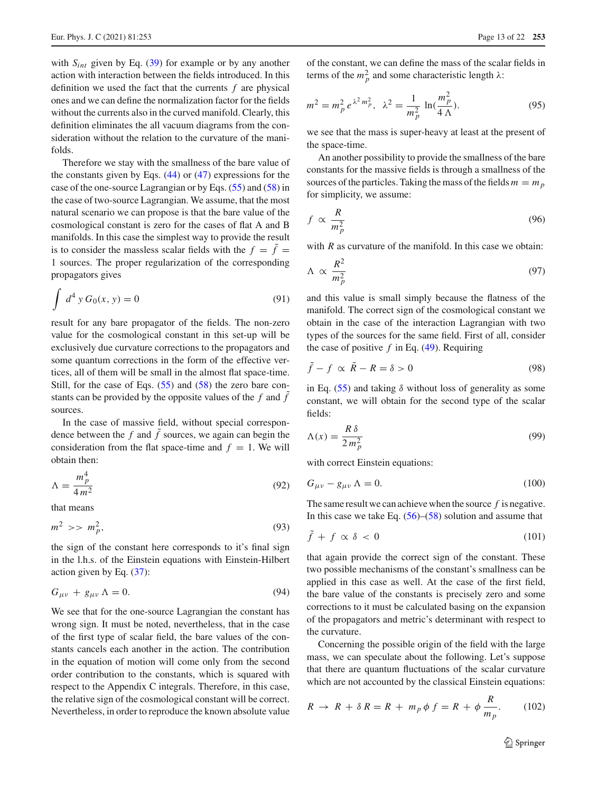with  $S_{int}$  given by Eq. [\(39\)](#page-5-5) for example or by any another action with interaction between the fields introduced. In this definition we used the fact that the currents *f* are physical ones and we can define the normalization factor for the fields without the currents also in the curved manifold. Clearly, this definition eliminates the all vacuum diagrams from the consideration without the relation to the curvature of the manifolds.

Therefore we stay with the smallness of the bare value of the constants given by Eqs. [\(44\)](#page-6-3) or [\(47\)](#page-6-4) expressions for the case of the one-source Lagrangian or by Eqs. [\(55\)](#page-7-1) and [\(58\)](#page-7-2) in the case of two-source Lagrangian. We assume, that the most natural scenario we can propose is that the bare value of the cosmological constant is zero for the cases of flat A and B manifolds. In this case the simplest way to provide the result is to consider the massless scalar fields with the  $f = \tilde{f}$  = 1 sources. The proper regularization of the corresponding propagators gives

$$
\int d^4 y G_0(x, y) = 0
$$
\n(91)

result for any bare propagator of the fields. The non-zero value for the cosmological constant in this set-up will be exclusively due curvature corrections to the propagators and some quantum corrections in the form of the effective vertices, all of them will be small in the almost flat space-time. Still, for the case of Eqs. [\(55\)](#page-7-1) and [\(58\)](#page-7-2) the zero bare constants can be provided by the opposite values of the  $f$  and  $\tilde{f}$ sources.

In the case of massive field, without special correspondence between the  $f$  and  $\ddot{f}$  sources, we again can begin the consideration from the flat space-time and  $f = 1$ . We will obtain then:

$$
\Lambda = \frac{m_p^4}{4m^2} \tag{92}
$$

that means

$$
m^2 \gg m_p^2,\tag{93}
$$

the sign of the constant here corresponds to it's final sign in the l.h.s. of the Einstein equations with Einstein-Hilbert action given by Eq. [\(37\)](#page-5-10):

$$
G_{\mu\nu} + g_{\mu\nu} \Lambda = 0. \tag{94}
$$

We see that for the one-source Lagrangian the constant has wrong sign. It must be noted, nevertheless, that in the case of the first type of scalar field, the bare values of the constants cancels each another in the action. The contribution in the equation of motion will come only from the second order contribution to the constants, which is squared with respect to the Appendix C integrals. Therefore, in this case, the relative sign of the cosmological constant will be correct. Nevertheless, in order to reproduce the known absolute value

of the constant, we can define the mass of the scalar fields in terms of the  $m_p^2$  and some characteristic length  $\lambda$ :

$$
m^{2} = m_{p}^{2} e^{\lambda^{2} m_{p}^{2}}, \ \lambda^{2} = \frac{1}{m_{p}^{2}} \ln(\frac{m_{p}^{2}}{4 \Lambda}).
$$
 (95)

we see that the mass is super-heavy at least at the present of the space-time.

An another possibility to provide the smallness of the bare constants for the massive fields is through a smallness of the sources of the particles. Taking the mass of the fields  $m = m_p$ for simplicity, we assume:

<span id="page-12-0"></span>
$$
f \propto \frac{R}{m_p^2} \tag{96}
$$

with *R* as curvature of the manifold. In this case we obtain:

$$
\Lambda \propto \frac{R^2}{m_p^2} \tag{97}
$$

and this value is small simply because the flatness of the manifold. The correct sign of the cosmological constant we obtain in the case of the interaction Lagrangian with two types of the sources for the same field. First of all, consider the case of positive *f* in Eq. [\(49\)](#page-6-2). Requiring

$$
\tilde{f} - f \propto \tilde{R} - R = \delta > 0 \tag{98}
$$

in Eq.  $(55)$  and taking  $\delta$  without loss of generality as some constant, we will obtain for the second type of the scalar fields:

$$
\Lambda(x) = \frac{R \,\delta}{2 \, m_p^2} \tag{99}
$$

with correct Einstein equations:

$$
G_{\mu\nu} - g_{\mu\nu} \Lambda = 0. \tag{100}
$$

The same result we can achieve when the source *f* is negative. In this case we take Eq.  $(56)$ – $(58)$  solution and assume that

$$
\tilde{f} + f \propto \delta < 0 \tag{101}
$$

that again provide the correct sign of the constant. These two possible mechanisms of the constant's smallness can be applied in this case as well. At the case of the first field, the bare value of the constants is precisely zero and some corrections to it must be calculated basing on the expansion of the propagators and metric's determinant with respect to the curvature.

Concerning the possible origin of the field with the large mass, we can speculate about the following. Let's suppose that there are quantum fluctuations of the scalar curvature which are not accounted by the classical Einstein equations:

$$
R \to R + \delta R = R + m_p \phi f = R + \phi \frac{R}{m_p}.
$$
 (102)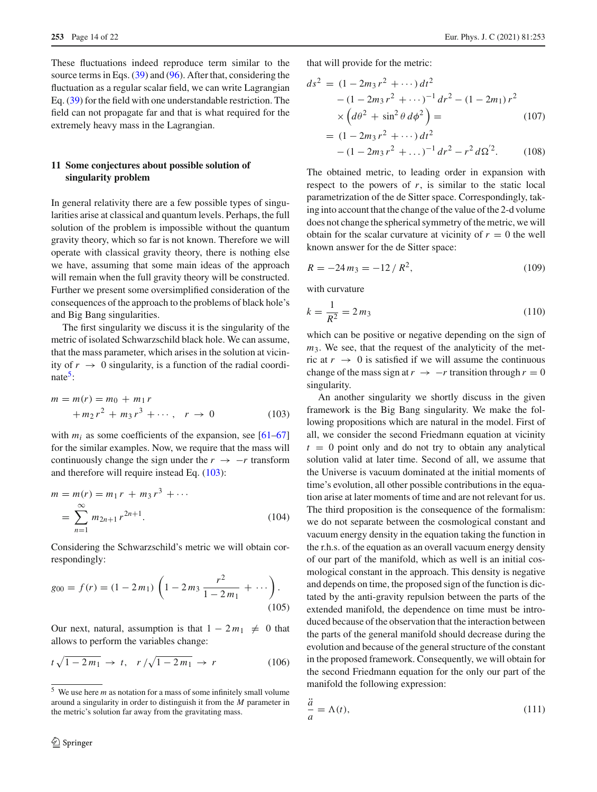These fluctuations indeed reproduce term similar to the source terms in Eqs. [\(39\)](#page-5-5) and [\(96\)](#page-12-0). After that, considering the fluctuation as a regular scalar field, we can write Lagrangian Eq. [\(39\)](#page-5-5) for the field with one understandable restriction. The field can not propagate far and that is what required for the extremely heavy mass in the Lagrangian.

# **11 Some conjectures about possible solution of singularity problem**

In general relativity there are a few possible types of singularities arise at classical and quantum levels. Perhaps, the full solution of the problem is impossible without the quantum gravity theory, which so far is not known. Therefore we will operate with classical gravity theory, there is nothing else we have, assuming that some main ideas of the approach will remain when the full gravity theory will be constructed. Further we present some oversimplified consideration of the consequences of the approach to the problems of black hole's and Big Bang singularities.

The first singularity we discuss it is the singularity of the metric of isolated Schwarzschild black hole. We can assume, that the mass parameter, which arises in the solution at vicinity of  $r \rightarrow 0$  singularity, is a function of the radial coordinate $5$ :

<span id="page-13-1"></span>
$$
m = m(r) = m_0 + m_1 r
$$
  
+  $m_2 r^2 + m_3 r^3 + \cdots$ ,  $r \to 0$  (103)

with  $m_i$  as some coefficients of the expansion, see  $[61-67]$  $[61-67]$ for the similar examples. Now, we require that the mass will continuously change the sign under the  $r \rightarrow -r$  transform and therefore will require instead Eq. [\(103\)](#page-13-1):

$$
m = m(r) = m_1 r + m_3 r^3 + \cdots
$$
  
= 
$$
\sum_{n=1}^{\infty} m_{2n+1} r^{2n+1}.
$$
 (104)

Considering the Schwarzschild's metric we will obtain correspondingly:

$$
g_{00} = f(r) = (1 - 2m_1) \left( 1 - 2m_3 \frac{r^2}{1 - 2m_1} + \cdots \right).
$$
\n(105)

Our next, natural, assumption is that  $1 - 2m_1 \neq 0$  that allows to perform the variables change:

$$
t\sqrt{1 - 2m_1} \to t, \quad r/\sqrt{1 - 2m_1} \to r \tag{106}
$$

that will provide for the metric:

$$
ds^{2} = (1 - 2m_{3}r^{2} + \cdots) dt^{2}
$$
  
- (1 - 2m\_{3}r^{2} + \cdots)^{-1} dr^{2} - (1 - 2m\_{1})r^{2}  
\times (d\theta^{2} + \sin^{2}\theta d\phi^{2}) =  
= (1 - 2m\_{3}r^{2} + \cdots) dt^{2} (107)

$$
-(1-2m_3r^2+\dots)^{-1}dr^2 - r^2 d\Omega^{'2}.
$$
 (108)

The obtained metric, to leading order in expansion with respect to the powers of  $r$ , is similar to the static local parametrization of the de Sitter space. Correspondingly, taking into account that the change of the value of the 2-d volume does not change the spherical symmetry of the metric, we will obtain for the scalar curvature at vicinity of  $r = 0$  the well known answer for the de Sitter space:

$$
R = -24 m_3 = -12 / R^2, \tag{109}
$$

with curvature

*a*¨

$$
k = \frac{1}{R^2} = 2m_3\tag{110}
$$

which can be positive or negative depending on the sign of *m*<sub>3</sub>. We see, that the request of the analyticity of the metric at  $r \rightarrow 0$  is satisfied if we will assume the continuous change of the mass sign at  $r \to -r$  transition through  $r = 0$ singularity.

An another singularity we shortly discuss in the given framework is the Big Bang singularity. We make the following propositions which are natural in the model. First of all, we consider the second Friedmann equation at vicinity  $t = 0$  point only and do not try to obtain any analytical solution valid at later time. Second of all, we assume that the Universe is vacuum dominated at the initial moments of time's evolution, all other possible contributions in the equation arise at later moments of time and are not relevant for us. The third proposition is the consequence of the formalism: we do not separate between the cosmological constant and vacuum energy density in the equation taking the function in the r.h.s. of the equation as an overall vacuum energy density of our part of the manifold, which as well is an initial cosmological constant in the approach. This density is negative and depends on time, the proposed sign of the function is dictated by the anti-gravity repulsion between the parts of the extended manifold, the dependence on time must be introduced because of the observation that the interaction between the parts of the general manifold should decrease during the evolution and because of the general structure of the constant in the proposed framework. Consequently, we will obtain for the second Friedmann equation for the only our part of the manifold the following expression:

<span id="page-13-2"></span>
$$
\frac{a}{a} = \Lambda(t),\tag{111}
$$

<span id="page-13-0"></span><sup>5</sup> We use here *m* as notation for a mass of some infinitely small volume around a singularity in order to distinguish it from the *M* parameter in the metric's solution far away from the gravitating mass.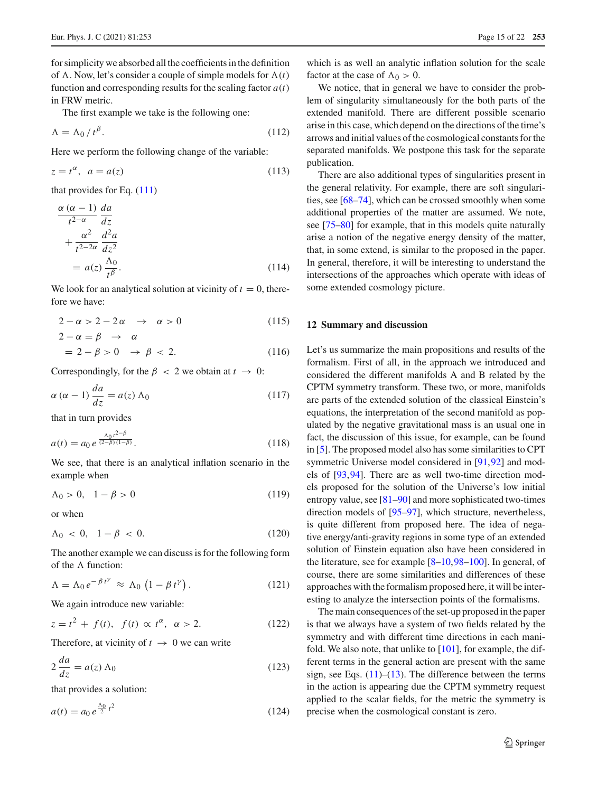for simplicity we absorbed all the coefficients in the definition of  $\Lambda$ . Now, let's consider a couple of simple models for  $\Lambda(t)$ function and corresponding results for the scaling factor  $a(t)$ in FRW metric.

The first example we take is the following one:

$$
\Lambda = \Lambda_0 / t^{\beta}.
$$
 (112)

Here we perform the following change of the variable:

$$
z = t^{\alpha}, \quad a = a(z) \tag{113}
$$

that provides for Eq. [\(111\)](#page-13-2)

$$
\frac{\alpha (\alpha - 1)}{t^{2-\alpha}} \frac{da}{dz} \n+ \frac{\alpha^2}{t^{2-2\alpha}} \frac{d^2a}{dz^2} \n= a(z) \frac{\Lambda_0}{t^{\beta}}.
$$
\n(114)

We look for an analytical solution at vicinity of  $t = 0$ , therefore we have:

$$
2 - \alpha > 2 - 2\alpha \quad \to \quad \alpha > 0 \tag{115}
$$

$$
2 - \alpha = \beta \rightarrow \alpha
$$
  
= 2 - \beta > 0 \rightarrow \beta < 2. (116)

Correspondingly, for the  $\beta < 2$  we obtain at  $t \to 0$ :

$$
\alpha \left( \alpha - 1 \right) \frac{da}{dz} = a(z) \Lambda_0 \tag{117}
$$

that in turn provides

$$
a(t) = a_0 e^{\frac{\Lambda_0 t^{2-\beta}}{(2-\beta)(1-\beta)}}.
$$
\n(118)

We see, that there is an analytical inflation scenario in the example when

$$
\Lambda_0 > 0, \quad 1 - \beta > 0 \tag{119}
$$

or when

$$
\Lambda_0 \, < \, 0, \quad 1 - \beta \, < \, 0. \tag{120}
$$

The another example we can discuss is for the following form of the  $\Lambda$  function:

$$
\Lambda = \Lambda_0 e^{-\beta t^{\gamma}} \approx \Lambda_0 \left( 1 - \beta t^{\gamma} \right). \tag{121}
$$

We again introduce new variable:

$$
z = t2 + f(t), \ f(t) \propto t^{\alpha}, \ \alpha > 2.
$$
 (122)

Therefore, at vicinity of  $t \to 0$  we can write

$$
2\frac{da}{dz} = a(z)\Lambda_0\tag{123}
$$

that provides a solution:

$$
a(t) = a_0 e^{\frac{\Lambda_0}{2}t^2}
$$
 (124)

which is as well an analytic inflation solution for the scale factor at the case of  $\Lambda_0 > 0$ .

We notice, that in general we have to consider the problem of singularity simultaneously for the both parts of the extended manifold. There are different possible scenario arise in this case, which depend on the directions of the time's arrows and initial values of the cosmological constants for the separated manifolds. We postpone this task for the separate publication.

There are also additional types of singularities present in the general relativity. For example, there are soft singularities, see [\[68](#page-20-11)[–74](#page-20-12)], which can be crossed smoothly when some additional properties of the matter are assumed. We note, see [\[75](#page-20-13)[–80\]](#page-20-14) for example, that in this models quite naturally arise a notion of the negative energy density of the matter, that, in some extend, is similar to the proposed in the paper. In general, therefore, it will be interesting to understand the intersections of the approaches which operate with ideas of some extended cosmology picture.

#### <span id="page-14-0"></span>**12 Summary and discussion**

Let's us summarize the main propositions and results of the formalism. First of all, in the approach we introduced and considered the different manifolds A and B related by the CPTM symmetry transform. These two, or more, manifolds are parts of the extended solution of the classical Einstein's equations, the interpretation of the second manifold as populated by the negative gravitational mass is an usual one in fact, the discussion of this issue, for example, can be found in [\[5](#page-19-4)]. The proposed model also has some similarities to CPT symmetric Universe model considered in [\[91,](#page-20-15)[92\]](#page-20-16) and models of [\[93](#page-20-17)[,94](#page-20-18)]. There are as well two-time direction models proposed for the solution of the Universe's low initial entropy value, see [\[81](#page-20-19)[–90\]](#page-20-20) and more sophisticated two-times direction models of [\[95](#page-20-21)[–97](#page-20-22)], which structure, nevertheless, is quite different from proposed here. The idea of negative energy/anti-gravity regions in some type of an extended solution of Einstein equation also have been considered in the literature, see for example [\[8](#page-19-14)[–10](#page-19-7)[,98](#page-20-23)[–100\]](#page-20-24). In general, of course, there are some similarities and differences of these approaches with the formalism proposed here, it will be interesting to analyze the intersection points of the formalisms.

The main consequences of the set-up proposed in the paper is that we always have a system of two fields related by the symmetry and with different time directions in each manifold. We also note, that unlike to [\[101](#page-20-25)], for example, the different terms in the general action are present with the same sign, see Eqs.  $(11)$ – $(13)$ . The difference between the terms in the action is appearing due the CPTM symmetry request applied to the scalar fields, for the metric the symmetry is precise when the cosmological constant is zero.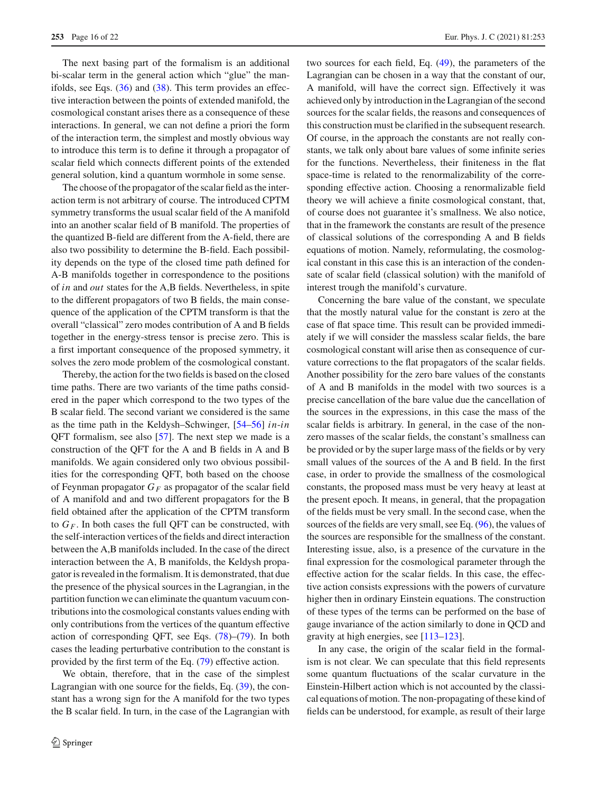The next basing part of the formalism is an additional bi-scalar term in the general action which "glue" the manifolds, see Eqs.  $(36)$  and  $(38)$ . This term provides an effective interaction between the points of extended manifold, the cosmological constant arises there as a consequence of these interactions. In general, we can not define a priori the form of the interaction term, the simplest and mostly obvious way to introduce this term is to define it through a propagator of scalar field which connects different points of the extended general solution, kind a quantum wormhole in some sense.

The choose of the propagator of the scalar field as the interaction term is not arbitrary of course. The introduced CPTM symmetry transforms the usual scalar field of the A manifold into an another scalar field of B manifold. The properties of the quantized B-field are different from the A-field, there are also two possibility to determine the B-field. Each possibility depends on the type of the closed time path defined for A-B manifolds together in correspondence to the positions of *in* and *out* states for the A,B fields. Nevertheless, in spite to the different propagators of two B fields, the main consequence of the application of the CPTM transform is that the overall "classical" zero modes contribution of A and B fields together in the energy-stress tensor is precise zero. This is a first important consequence of the proposed symmetry, it solves the zero mode problem of the cosmological constant.

Thereby, the action for the two fields is based on the closed time paths. There are two variants of the time paths considered in the paper which correspond to the two types of the B scalar field. The second variant we considered is the same as the time path in the Keldysh–Schwinger, [\[54](#page-20-6)[–56\]](#page-20-26) *in*-*in* QFT formalism, see also [\[57](#page-20-8)]. The next step we made is a construction of the QFT for the A and B fields in A and B manifolds. We again considered only two obvious possibilities for the corresponding QFT, both based on the choose of Feynman propagator  $G_F$  as propagator of the scalar field of A manifold and and two different propagators for the B field obtained after the application of the CPTM transform to  $G_F$ . In both cases the full QFT can be constructed, with the self-interaction vertices of the fields and direct interaction between the A,B manifolds included. In the case of the direct interaction between the A, B manifolds, the Keldysh propagator is revealed in the formalism. It is demonstrated, that due the presence of the physical sources in the Lagrangian, in the partition function we can eliminate the quantum vacuum contributions into the cosmological constants values ending with only contributions from the vertices of the quantum effective action of corresponding QFT, see Eqs. [\(78\)](#page-9-3)–[\(79\)](#page-10-0). In both cases the leading perturbative contribution to the constant is provided by the first term of the Eq. [\(79\)](#page-10-0) effective action.

We obtain, therefore, that in the case of the simplest Lagrangian with one source for the fields, Eq. [\(39\)](#page-5-5), the constant has a wrong sign for the A manifold for the two types the B scalar field. In turn, in the case of the Lagrangian with two sources for each field, Eq. [\(49\)](#page-6-2), the parameters of the Lagrangian can be chosen in a way that the constant of our, A manifold, will have the correct sign. Effectively it was achieved only by introduction in the Lagrangian of the second sources for the scalar fields, the reasons and consequences of this construction must be clarified in the subsequent research. Of course, in the approach the constants are not really constants, we talk only about bare values of some infinite series for the functions. Nevertheless, their finiteness in the flat space-time is related to the renormalizability of the corresponding effective action. Choosing a renormalizable field theory we will achieve a finite cosmological constant, that, of course does not guarantee it's smallness. We also notice, that in the framework the constants are result of the presence of classical solutions of the corresponding A and B fields equations of motion. Namely, reformulating, the cosmological constant in this case this is an interaction of the condensate of scalar field (classical solution) with the manifold of interest trough the manifold's curvature.

Concerning the bare value of the constant, we speculate that the mostly natural value for the constant is zero at the case of flat space time. This result can be provided immediately if we will consider the massless scalar fields, the bare cosmological constant will arise then as consequence of curvature corrections to the flat propagators of the scalar fields. Another possibility for the zero bare values of the constants of A and B manifolds in the model with two sources is a precise cancellation of the bare value due the cancellation of the sources in the expressions, in this case the mass of the scalar fields is arbitrary. In general, in the case of the nonzero masses of the scalar fields, the constant's smallness can be provided or by the super large mass of the fields or by very small values of the sources of the A and B field. In the first case, in order to provide the smallness of the cosmological constants, the proposed mass must be very heavy at least at the present epoch. It means, in general, that the propagation of the fields must be very small. In the second case, when the sources of the fields are very small, see Eq. [\(96\)](#page-12-0), the values of the sources are responsible for the smallness of the constant. Interesting issue, also, is a presence of the curvature in the final expression for the cosmological parameter through the effective action for the scalar fields. In this case, the effective action consists expressions with the powers of curvature higher then in ordinary Einstein equations. The construction of these types of the terms can be performed on the base of gauge invariance of the action similarly to done in QCD and gravity at high energies, see [\[113](#page-20-27)[–123\]](#page-20-28).

In any case, the origin of the scalar field in the formalism is not clear. We can speculate that this field represents some quantum fluctuations of the scalar curvature in the Einstein-Hilbert action which is not accounted by the classical equations of motion. The non-propagating of these kind of fields can be understood, for example, as result of their large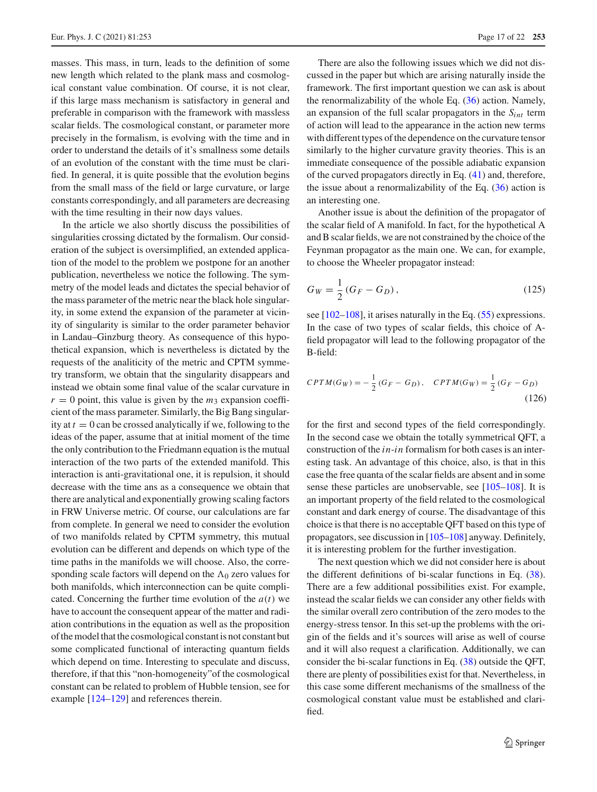masses. This mass, in turn, leads to the definition of some new length which related to the plank mass and cosmological constant value combination. Of course, it is not clear, if this large mass mechanism is satisfactory in general and preferable in comparison with the framework with massless scalar fields. The cosmological constant, or parameter more precisely in the formalism, is evolving with the time and in order to understand the details of it's smallness some details of an evolution of the constant with the time must be clarified. In general, it is quite possible that the evolution begins from the small mass of the field or large curvature, or large constants correspondingly, and all parameters are decreasing with the time resulting in their now days values.

In the article we also shortly discuss the possibilities of singularities crossing dictated by the formalism. Our consideration of the subject is oversimplified, an extended application of the model to the problem we postpone for an another publication, nevertheless we notice the following. The symmetry of the model leads and dictates the special behavior of the mass parameter of the metric near the black hole singularity, in some extend the expansion of the parameter at vicinity of singularity is similar to the order parameter behavior in Landau–Ginzburg theory. As consequence of this hypothetical expansion, which is nevertheless is dictated by the requests of the analiticity of the metric and CPTM symmetry transform, we obtain that the singularity disappears and instead we obtain some final value of the scalar curvature in  $r = 0$  point, this value is given by the  $m_3$  expansion coefficient of the mass parameter. Similarly, the Big Bang singularity at  $t = 0$  can be crossed analytically if we, following to the ideas of the paper, assume that at initial moment of the time the only contribution to the Friedmann equation is the mutual interaction of the two parts of the extended manifold. This interaction is anti-gravitational one, it is repulsion, it should decrease with the time ans as a consequence we obtain that there are analytical and exponentially growing scaling factors in FRW Universe metric. Of course, our calculations are far from complete. In general we need to consider the evolution of two manifolds related by CPTM symmetry, this mutual evolution can be different and depends on which type of the time paths in the manifolds we will choose. Also, the corresponding scale factors will depend on the  $\Lambda_0$  zero values for both manifolds, which interconnection can be quite complicated. Concerning the further time evolution of the  $a(t)$  we have to account the consequent appear of the matter and radiation contributions in the equation as well as the proposition of the model that the cosmological constant is not constant but some complicated functional of interacting quantum fields which depend on time. Interesting to speculate and discuss, therefore, if that this "non-homogeneity"of the cosmological constant can be related to problem of Hubble tension, see for example [\[124](#page-20-29)[–129](#page-21-0)] and references therein.

There are also the following issues which we did not discussed in the paper but which are arising naturally inside the framework. The first important question we can ask is about the renormalizability of the whole Eq. [\(36\)](#page-5-2) action. Namely, an expansion of the full scalar propagators in the *Sint* term of action will lead to the appearance in the action new terms with different types of the dependence on the curvature tensor similarly to the higher curvature gravity theories. This is an immediate consequence of the possible adiabatic expansion of the curved propagators directly in Eq. [\(41\)](#page-5-6) and, therefore, the issue about a renormalizability of the Eq.  $(36)$  action is an interesting one.

Another issue is about the definition of the propagator of the scalar field of A manifold. In fact, for the hypothetical A and B scalar fields, we are not constrained by the choice of the Feynman propagator as the main one. We can, for example, to choose the Wheeler propagator instead:

$$
G_W = \frac{1}{2} (G_F - G_D), \qquad (125)
$$

see [\[102](#page-20-30)[–108](#page-20-31)], it arises naturally in the Eq. [\(55\)](#page-7-1) expressions. In the case of two types of scalar fields, this choice of Afield propagator will lead to the following propagator of the B-field:

$$
CPTM(G_W) = -\frac{1}{2}(G_F - G_D), \quad CPTM(G_W) = \frac{1}{2}(G_F - G_D)
$$
\n(126)

for the first and second types of the field correspondingly. In the second case we obtain the totally symmetrical QFT, a construction of the *in*-*in* formalism for both cases is an interesting task. An advantage of this choice, also, is that in this case the free quanta of the scalar fields are absent and in some sense these particles are unobservable, see [\[105](#page-20-32)[–108](#page-20-31)]. It is an important property of the field related to the cosmological constant and dark energy of course. The disadvantage of this choice is that there is no acceptable QFT based on this type of propagators, see discussion in [\[105](#page-20-32)[–108](#page-20-31)] anyway. Definitely, it is interesting problem for the further investigation.

The next question which we did not consider here is about the different definitions of bi-scalar functions in Eq. [\(38\)](#page-5-3). There are a few additional possibilities exist. For example, instead the scalar fields we can consider any other fields with the similar overall zero contribution of the zero modes to the energy-stress tensor. In this set-up the problems with the origin of the fields and it's sources will arise as well of course and it will also request a clarification. Additionally, we can consider the bi-scalar functions in Eq. [\(38\)](#page-5-3) outside the QFT, there are plenty of possibilities exist for that. Nevertheless, in this case some different mechanisms of the smallness of the cosmological constant value must be established and clarified.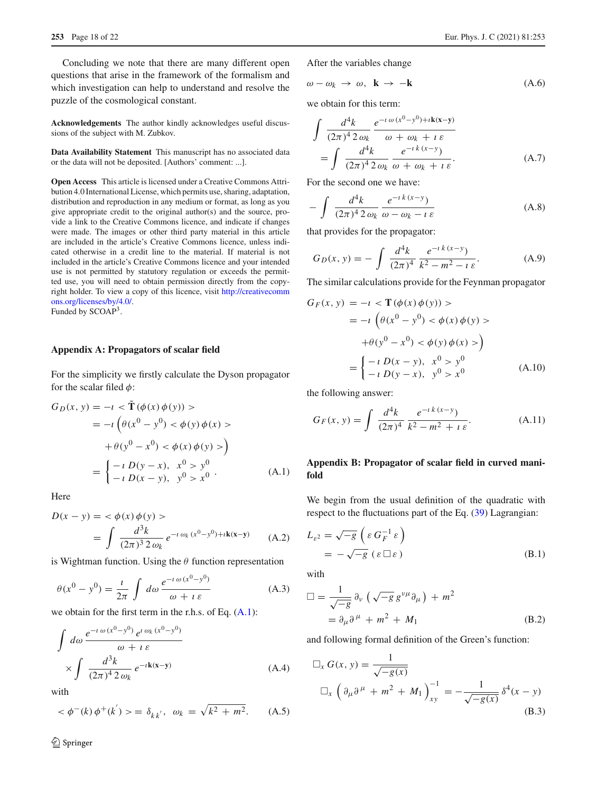Concluding we note that there are many different open questions that arise in the framework of the formalism and which investigation can help to understand and resolve the puzzle of the cosmological constant.

**Acknowledgements** The author kindly acknowledges useful discussions of the subject with M. Zubkov.

**Data Availability Statement** This manuscript has no associated data or the data will not be deposited. [Authors' comment: ...].

**Open Access** This article is licensed under a Creative Commons Attribution 4.0 International License, which permits use, sharing, adaptation, distribution and reproduction in any medium or format, as long as you give appropriate credit to the original author(s) and the source, provide a link to the Creative Commons licence, and indicate if changes were made. The images or other third party material in this article are included in the article's Creative Commons licence, unless indicated otherwise in a credit line to the material. If material is not included in the article's Creative Commons licence and your intended use is not permitted by statutory regulation or exceeds the permitted use, you will need to obtain permission directly from the copyright holder. To view a copy of this licence, visit [http://creativecomm](http://creativecommons.org/licenses/by/4.0/) [ons.org/licenses/by/4.0/.](http://creativecommons.org/licenses/by/4.0/) Funded by SCOAP3.

#### **Appendix A: Propagators of scalar field**

For the simplicity we firstly calculate the Dyson propagator for the scalar filed  $\phi$ :

<span id="page-17-1"></span>
$$
G_D(x, y) = -\imath < \tilde{\mathbf{T}} \left( \phi(x) \phi(y) \right) > \\
= -\imath \left( \theta(x^0 - y^0) < \phi(y) \phi(x) > \\
+ \theta(y^0 - x^0) < \phi(x) \phi(y) > \right) \\
= \begin{cases} -\imath \ D(y - x), & x^0 > y^0 \\
- \imath \ D(x - y), & y^0 > x^0\n\end{cases} \tag{A.1}
$$

**Here** 

<span id="page-17-2"></span>
$$
D(x - y) = \langle \phi(x) \phi(y) \rangle
$$
  
= 
$$
\int \frac{d^3k}{(2\pi)^3 2 \omega_k} e^{-i \omega_k (x^0 - y^0) + i\mathbf{k}(x - y)}
$$
 (A.2)

is Wightman function. Using the  $\theta$  function representation

$$
\theta(x^0 - y^0) = \frac{\iota}{2\pi} \int d\omega \frac{e^{-i\omega(x^0 - y^0)}}{\omega + i\varepsilon}
$$
 (A.3)

we obtain for the first term in the r.h.s. of Eq. [\(A.1\)](#page-17-1):

<span id="page-17-3"></span>
$$
\int d\omega \frac{e^{-i \omega (x^0 - y^0)} e^{i \omega_k (x^0 - y^0)}}{\omega + i \varepsilon}
$$
  
 
$$
\times \int \frac{d^3k}{(2\pi)^4 2 \omega_k} e^{-i\mathbf{k(x-y)}}
$$
 (A.4)

with

$$
<\phi^{-}(k)\phi^{+}(k')\rangle = \delta_{kk'}, \ \omega_k = \sqrt{k^2 + m^2}.
$$
 (A.5)

 $\hat{2}$  Springer

After the variables change

<span id="page-17-0"></span>
$$
\omega - \omega_k \to \omega, \ \mathbf{k} \to -\mathbf{k} \tag{A.6}
$$

we obtain for this term:

<span id="page-17-4"></span>
$$
\int \frac{d^4k}{(2\pi)^4 2 \omega_k} \frac{e^{-i \omega (x^0 - y^0) + i\mathbf{k}(\mathbf{x} - \mathbf{y})}}{\omega + \omega_k + i \varepsilon}
$$
\n
$$
= \int \frac{d^4k}{(2\pi)^4 2 \omega_k} \frac{e^{-i k (x - y)}}{\omega + \omega_k + i \varepsilon}.
$$
\n(A.7)

For the second one we have:

$$
-\int \frac{d^4k}{(2\pi)^4 2\omega_k} \frac{e^{-ik(x-y)}}{\omega - \omega_k - i\varepsilon}
$$
 (A.8)

that provides for the propagator:

$$
G_D(x, y) = -\int \frac{d^4k}{(2\pi)^4} \frac{e^{-ik(x-y)}}{k^2 - m^2 - i\varepsilon}.
$$
 (A.9)

The similar calculations provide for the Feynman propagator

$$
G_F(x, y) = -i < \mathbf{T}(\phi(x) \phi(y)) >
$$
  
=  $-i \left( \theta(x^0 - y^0) < \phi(x) \phi(y) \right)$   
 $+ \theta(y^0 - x^0) < \phi(y) \phi(x) >$   
=  $\begin{cases} -i D(x - y), & x^0 > y^0 \\ -i D(y - x), & y^0 > x^0 \end{cases}$  (A.10)

the following answer:

<span id="page-17-5"></span>
$$
G_F(x, y) = \int \frac{d^4k}{(2\pi)^4} \frac{e^{-ik(x-y)}}{k^2 - m^2 + i\varepsilon}.
$$
 (A.11)

# **Appendix B: Propagator of scalar field in curved manifold**

We begin from the usual definition of the quadratic with respect to the fluctuations part of the Eq. [\(39\)](#page-5-5) Lagrangian:

$$
L_{\varepsilon^2} = \sqrt{-g} \left( \varepsilon G_F^{-1} \varepsilon \right)
$$
  
=  $-\sqrt{-g} \left( \varepsilon \square \varepsilon \right)$  (B.1)

with

$$
\Box = \frac{1}{\sqrt{-g}} \partial_{\nu} \left( \sqrt{-g} g^{\nu \mu} \partial_{\mu} \right) + m^2
$$
  
=  $\partial_{\mu} \partial^{\mu} + m^2 + M_1$  (B.2)

and following formal definition of the Green's function:

$$
\Box_x G(x, y) = \frac{1}{\sqrt{-g(x)}}
$$
  

$$
\Box_x \left( \partial_\mu \partial^\mu + m^2 + M_1 \right)_{xy}^{-1} = -\frac{1}{\sqrt{-g(x)}} \delta^4(x - y)
$$
(B.3)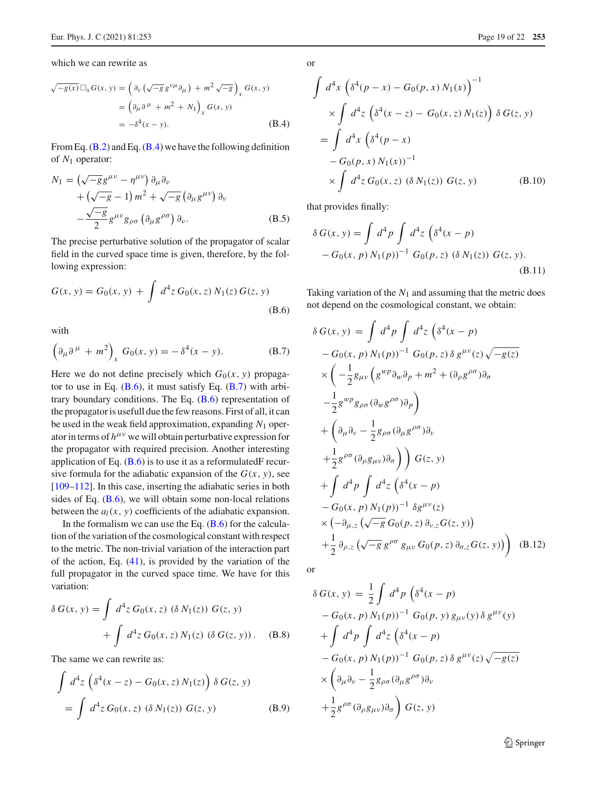which we can rewrite as

$$
\sqrt{-g(x)} \Box_x G(x, y) = \left(\partial_v \left(\sqrt{-g} g^{v\mu} \partial_\mu\right) + m^2 \sqrt{-g}\right)_x G(x, y)
$$

$$
= \left(\partial_\mu \partial^\mu + m^2 + N_1\right)_x G(x, y)
$$

$$
= -\delta^4 (x - y). \tag{B.4}
$$

From Eq.  $(B.2)$  and Eq.  $(B.4)$  we have the following definition of *N*<sup>1</sup> operator:

$$
N_1 = \left(\sqrt{-g}g^{\mu\nu} - \eta^{\mu\nu}\right)\partial_\mu\partial_\nu + \left(\sqrt{-g} - 1\right)m^2 + \sqrt{-g}\left(\partial_\mu g^{\mu\nu}\right)\partial_\nu - \frac{\sqrt{-g}}{2}g^{\mu\nu}g_{\rho\sigma}\left(\partial_\mu g^{\rho\sigma}\right)\partial_\nu.
$$
 (B.5)

The precise perturbative solution of the propagator of scalar field in the curved space time is given, therefore, by the following expression:

$$
G(x, y) = G_0(x, y) + \int d^4 z \, G_0(x, z) \, N_1(z) \, G(z, y)
$$
\n(B.6)

with

$$
\left(\partial_{\mu}\partial^{\mu} + m^{2}\right)_{x} G_{0}(x, y) = -\delta^{4}(x - y). \tag{B.7}
$$

Here we do not define precisely which  $G_0(x, y)$  propagator to use in Eq.  $(B.6)$ , it must satisfy Eq.  $(B.7)$  with arbitrary boundary conditions. The Eq.  $(B.6)$  representation of the propagator is usefull due the few reasons. First of all, it can be used in the weak field approximation, expanding *N*<sup>1</sup> operator in terms of  $h^{\mu\nu}$  we will obtain perturbative expression for the propagator with required precision. Another interesting application of Eq.  $(B.6)$  is to use it as a reformulatedF recursive formula for the adiabatic expansion of the  $G(x, y)$ , see [\[109](#page-20-33)[–112](#page-20-34)]. In this case, inserting the adiabatic series in both sides of Eq.  $(B.6)$ , we will obtain some non-local relations between the  $a_l(x, y)$  coefficients of the adiabatic expansion.

In the formalism we can use the Eq.  $(B.6)$  for the calculation of the variation of the cosmological constant with respect to the metric. The non-trivial variation of the interaction part of the action, Eq. [\(41\)](#page-5-6), is provided by the variation of the full propagator in the curved space time. We have for this variation:

$$
\delta G(x, y) = \int d^4 z G_0(x, z) (\delta N_1(z)) G(z, y)
$$
  
+ 
$$
\int d^4 z G_0(x, z) N_1(z) (\delta G(z, y)).
$$
 (B.8)

The same we can rewrite as:

$$
\int d^4 z \left( \delta^4 (x - z) - G_0(x, z) N_1(z) \right) \delta G(z, y)
$$
  
= 
$$
\int d^4 z G_0(x, z) \left( \delta N_1(z) \right) G(z, y)
$$
 (B.9)

or

$$
\int d^4x \left( \delta^4(p-x) - G_0(p,x) N_1(x) \right)^{-1}
$$
  
 
$$
\times \int d^4z \left( \delta^4(x-z) - G_0(x,z) N_1(z) \right) \delta G(z,y)
$$
  
= 
$$
\int d^4x \left( \delta^4(p-x) -G_0(p,x) N_1(x) \right)^{-1}
$$
  

$$
\times \int d^4z G_0(x,z) \left( \delta N_1(z) \right) G(z,y) \qquad (B.10)
$$

that provides finally:

$$
\delta G(x, y) = \int d^4 p \int d^4 z \left( \delta^4 (x - p) - G_0(x, p) N_1(p) \right)^{-1} G_0(p, z) \left( \delta N_1(z) \right) G(z, y).
$$
\n(B.11)

Taking variation of the  $N_1$  and assuming that the metric does not depend on the cosmological constant, we obtain:

$$
\delta G(x, y) = \int d^4 p \int d^4 z \left( \delta^4 (x - p) - G_0(x, p) N_1(p))^{-1} G_0(p, z) \delta g^{\mu\nu}(z) \sqrt{-g(z)} \right. \times \left( -\frac{1}{2} g_{\mu\nu} \left( g^{w p} \partial_w \partial_p + m^2 + (\partial_\rho g^{\rho \sigma}) \partial_\sigma \right. \left. - \frac{1}{2} g^{w p} g_{\rho \sigma} (\partial_w g^{\rho \sigma}) \partial_p \right) + \left( \partial_\mu \partial_\nu - \frac{1}{2} g_{\rho \sigma} (\partial_\mu g^{\rho \sigma}) \partial_\nu \right. \left. + \frac{1}{2} g^{\rho \sigma} (\partial_\rho g_{\mu\nu}) \partial_\sigma \right) \right) G(z, y) + \int d^4 p \int d^4 z \left( \delta^4 (x - p) - G_0(x, p) N_1(p))^{-1} \delta g^{\mu\nu}(z) \times \left( -\partial_{\mu, z} \left( \sqrt{-g} G_0(p, z) \partial_{\nu, z} G(z, y) \right) \right. \left. + \frac{1}{2} \partial_{\rho, z} \left( \sqrt{-g} g^{\rho \sigma} g_{\mu\nu} G_0(p, z) \partial_{\sigma, z} G(z, y) \right) \right) \quad (B.12)
$$

or

$$
\delta G(x, y) = \frac{1}{2} \int d^4 p \left( \delta^4 (x - p) - G_0(x, p) N_1(p) \right)^{-1} G_0(p, y) g_{\mu\nu}(y) \delta g^{\mu\nu}(y)
$$
  
+ 
$$
\int d^4 p \int d^4 z \left( \delta^4 (x - p) - G_0(x, p) N_1(p) \right)^{-1} G_0(p, z) \delta g^{\mu\nu}(z) \sqrt{-g(z)}
$$
  
× 
$$
\left( \partial_\mu \partial_\nu - \frac{1}{2} g_{\rho\sigma} (\partial_\mu g^{\rho\sigma}) \partial_\nu \right)
$$
  
+ 
$$
\frac{1}{2} g^{\rho\sigma} (\partial_\rho g_{\mu\nu}) \partial_\sigma \right) G(z, y)
$$

<sup>2</sup> Springer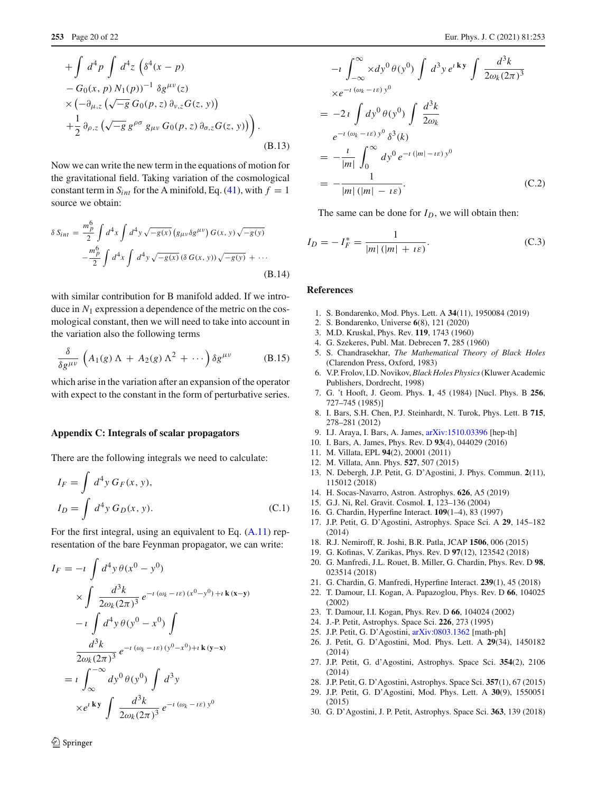$$
+\int d^4 p \int d^4 z \left( \delta^4 (x-p) - G_0(x, p) N_1(p) \right)^{-1} \delta g^{\mu\nu}(z) \times \left( -\partial_{\mu,z} \left( \sqrt{-g} G_0(p, z) \partial_{\nu,z} G(z, y) \right) + \frac{1}{2} \partial_{\rho,z} \left( \sqrt{-g} g^{\rho\sigma} g_{\mu\nu} G_0(p, z) \partial_{\sigma,z} G(z, y) \right) \right).
$$
\n(B.13)

Now we can write the new term in the equations of motion for the gravitational field. Taking variation of the cosmological constant term in  $S_{int}$  for the A minifold, Eq. [\(41\)](#page-5-6), with  $f = 1$ source we obtain:

$$
\delta S_{int} = \frac{m_p^6}{2} \int d^4 x \int d^4 y \sqrt{-g(x)} (g_{\mu\nu} \delta g^{\mu\nu}) G(x, y) \sqrt{-g(y)} - \frac{m_p^6}{2} \int d^4 x \int d^4 y \sqrt{-g(x)} (\delta G(x, y)) \sqrt{-g(y)} + \cdots
$$
(B.14)

with similar contribution for B manifold added. If we introduce in *N*<sup>1</sup> expression a dependence of the metric on the cosmological constant, then we will need to take into account in the variation also the following terms

<span id="page-19-13"></span>
$$
\frac{\delta}{\delta g^{\mu\nu}} \left( A_1(g) \Lambda + A_2(g) \Lambda^2 + \cdots \right) \delta g^{\mu\nu} \tag{B.15}
$$

which arise in the variation after an expansion of the operator with expect to the constant in the form of perturbative series.

#### **Appendix C: Integrals of scalar propagators**

There are the following integrals we need to calculate:

$$
I_F = \int d^4 y \, G_F(x, y),
$$
  
\n
$$
I_D = \int d^4 y \, G_D(x, y).
$$
 (C.1)

For the first integral, using an equivalent to Eq. [\(A.11\)](#page-17-5) representation of the bare Feynman propagator, we can write:

$$
I_F = -i \int d^4 y \theta(x^0 - y^0)
$$
  
\n
$$
\times \int \frac{d^3 k}{2\omega_k (2\pi)^3} e^{-i (\omega_k - i \varepsilon) (x^0 - y^0) + i \mathbf{k} (x - y)}
$$
  
\n
$$
-i \int d^4 y \theta(y^0 - x^0) \int
$$
  
\n
$$
\frac{d^3 k}{2\omega_k (2\pi)^3} e^{-i (\omega_k - i \varepsilon) (y^0 - x^0) + i \mathbf{k} (y - x)}
$$
  
\n
$$
= i \int_{\infty}^{-\infty} dy^0 \theta(y^0) \int d^3 y
$$
  
\n
$$
\times e^{i \mathbf{k} y} \int \frac{d^3 k}{2\omega_k (2\pi)^3} e^{-i (\omega_k - i \varepsilon) y^0}
$$

$$
-i \int_{-\infty}^{\infty} x dy^0 \theta(y^0) \int d^3 y e^{i \mathbf{k} y} \int \frac{d^3 k}{2\omega_k (2\pi)^3}
$$
  
\n
$$
x e^{-i (\omega_k - i\varepsilon) y^0}
$$
  
\n
$$
= -2i \int dy^0 \theta(y^0) \int \frac{d^3 k}{2\omega_k}
$$
  
\n
$$
e^{-i (\omega_k - i\varepsilon) y^0} \delta^3(k)
$$
  
\n
$$
= -\frac{i}{|m|} \int_0^{\infty} dy^0 e^{-i (|m| - i\varepsilon) y^0}
$$
  
\n
$$
= -\frac{1}{|m| (|m| - i\varepsilon)}.
$$
 (C.2)

The same can be done for  $I_D$ , we will obtain then:

$$
I_D = -I_F^* = \frac{1}{|m| \left( |m| + i\varepsilon \right)}.
$$
 (C.3)

#### **References**

- <span id="page-19-0"></span>1. S. Bondarenko, Mod. Phys. Lett. A **34**(11), 1950084 (2019)
- <span id="page-19-1"></span>2. S. Bondarenko, Universe **6**(8), 121 (2020)
- <span id="page-19-2"></span>3. M.D. Kruskal, Phys. Rev. **119**, 1743 (1960)
- <span id="page-19-3"></span>4. G. Szekeres, Publ. Mat. Debrecen **7**, 285 (1960)
- <span id="page-19-4"></span>5. S. Chandrasekhar, *The Mathematical Theory of Black Holes* (Clarendon Press, Oxford, 1983)
- <span id="page-19-5"></span>6. V.P. Frolov, I.D. Novikov,*Black Holes Physics*(Kluwer Academic Publishers, Dordrecht, 1998)
- <span id="page-19-6"></span>7. G. 't Hooft, J. Geom. Phys. **1**, 45 (1984) [Nucl. Phys. B **256**, 727–745 (1985)]
- <span id="page-19-14"></span>8. I. Bars, S.H. Chen, P.J. Steinhardt, N. Turok, Phys. Lett. B **715**, 278–281 (2012)
- 9. I.J. Araya, I. Bars, A. James, [arXiv:1510.03396](http://arxiv.org/abs/1510.03396) [hep-th]
- <span id="page-19-7"></span>10. I. Bars, A. James, Phys. Rev. D **93**(4), 044029 (2016)
- <span id="page-19-8"></span>11. M. Villata, EPL **94**(2), 20001 (2011)
- 12. M. Villata, Ann. Phys. **527**, 507 (2015)
- 13. N. Debergh, J.P. Petit, G. D'Agostini, J. Phys. Commun. **2**(11), 115012 (2018)
- 14. H. Socas-Navarro, Astron. Astrophys. **626**, A5 (2019)
- <span id="page-19-11"></span>15. G.J. Ni, Rel. Gravit. Cosmol. **1**, 123–136 (2004)
- <span id="page-19-12"></span>16. G. Chardin, Hyperfine Interact. **109**(1–4), 83 (1997)
- 17. J.P. Petit, G. D'Agostini, Astrophys. Space Sci. A **29**, 145–182 (2014)
- 18. R.J. Nemiroff, R. Joshi, B.R. Patla, JCAP **1506**, 006 (2015)
- 19. G. Kofinas, V. Zarikas, Phys. Rev. D **97**(12), 123542 (2018)
- 20. G. Manfredi, J.L. Rouet, B. Miller, G. Chardin, Phys. Rev. D **98**, 023514 (2018)
- <span id="page-19-9"></span>21. G. Chardin, G. Manfredi, Hyperfine Interact. **239**(1), 45 (2018)
- <span id="page-19-10"></span>22. T. Damour, I.I. Kogan, A. Papazoglou, Phys. Rev. D **66**, 104025 (2002)
- 23. T. Damour, I.I. Kogan, Phys. Rev. D **66**, 104024 (2002)
- 24. J.-P. Petit, Astrophys. Space Sci. **226**, 273 (1995)
- 25. J.P. Petit, G. D'Agostini, [arXiv:0803.1362](http://arxiv.org/abs/0803.1362) [math-ph]
- 26. J. Petit, G. D'Agostini, Mod. Phys. Lett. A **29**(34), 1450182 (2014)
- 27. J.P. Petit, G. d'Agostini, Astrophys. Space Sci. **354**(2), 2106 (2014)
- 28. J.P. Petit, G. D'Agostini, Astrophys. Space Sci. **357**(1), 67 (2015)
- 29. J.P. Petit, G. D'Agostini, Mod. Phys. Lett. A **30**(9), 1550051 (2015)
- 30. G. D'Agostini, J. P. Petit, Astrophys. Space Sci. **363**, 139 (2018)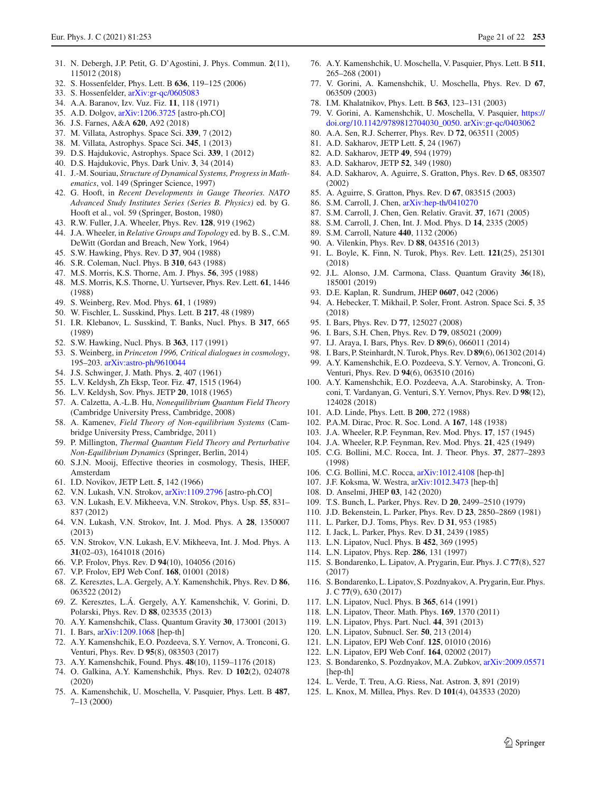- 31. N. Debergh, J.P. Petit, G. D'Agostini, J. Phys. Commun. **2**(11), 115012 (2018)
- 32. S. Hossenfelder, Phys. Lett. B **636**, 119–125 (2006)
- 33. S. Hossenfelder, [arXiv:gr-qc/0605083](http://arxiv.org/abs/gr-qc/0605083)
- 34. A.A. Baranov, Izv. Vuz. Fiz. **11**, 118 (1971)
- 35. A.D. Dolgov, [arXiv:1206.3725](http://arxiv.org/abs/1206.3725) [astro-ph.CO]
- 36. J.S. Farnes, A&A **620**, A92 (2018)
- <span id="page-20-1"></span>37. M. Villata, Astrophys. Space Sci. **339**, 7 (2012)
- <span id="page-20-2"></span>38. M. Villata, Astrophys. Space Sci. **345**, 1 (2013)
- 39. D.S. Hajdukovic, Astrophys. Space Sci. **339**, 1 (2012)
- <span id="page-20-0"></span>40. D.S. Hajdukovic, Phys. Dark Univ. **3**, 34 (2014)
- <span id="page-20-3"></span>41. J.-M. Souriau, *Structure of Dynamical Systems, Progress in Mathematics*, vol. 149 (Springer Science, 1997)
- <span id="page-20-4"></span>42. G. Hooft, in *Recent Developments in Gauge Theories. NATO Advanced Study Institutes Series (Series B. Physics)* ed. by G. Hooft et al., vol. 59 (Springer, Boston, 1980)
- <span id="page-20-5"></span>43. R.W. Fuller, J.A. Wheeler, Phys. Rev. **128**, 919 (1962)
- 44. J.A. Wheeler, in *Relative Groups and Topology* ed. by B. S., C.M. DeWitt (Gordan and Breach, New York, 1964)
- 45. S.W. Hawking, Phys. Rev. D **37**, 904 (1988)
- 46. S.R. Coleman, Nucl. Phys. B **310**, 643 (1988)
- 47. M.S. Morris, K.S. Thorne, Am. J. Phys. **56**, 395 (1988)
- 48. M.S. Morris, K.S. Thorne, U. Yurtsever, Phys. Rev. Lett. **61**, 1446 (1988)
- 49. S. Weinberg, Rev. Mod. Phys. **61**, 1 (1989)
- 50. W. Fischler, L. Susskind, Phys. Lett. B **217**, 48 (1989)
- 51. I.R. Klebanov, L. Susskind, T. Banks, Nucl. Phys. B **317**, 665 (1989)
- 52. S.W. Hawking, Nucl. Phys. B **363**, 117 (1991)
- 53. S. Weinberg, in *Princeton 1996, Critical dialogues in cosmology*, 195–203. [arXiv:astro-ph/9610044](http://arxiv.org/abs/astro-ph/9610044)
- <span id="page-20-6"></span>54. J.S. Schwinger, J. Math. Phys. **2**, 407 (1961)
- 55. L.V. Keldysh, Zh Eksp, Teor. Fiz. **47**, 1515 (1964)
- <span id="page-20-26"></span>56. L.V. Keldysh, Sov. Phys. JETP **20**, 1018 (1965)
- <span id="page-20-8"></span>57. A. Calzetta, A.-L.B. Hu, *Nonequilibrium Quantum Field Theory* (Cambridge University Press, Cambridge, 2008)
- 58. A. Kamenev, *Field Theory of Non-equilibrium Systems* (Cambridge University Press, Cambridge, 2011)
- 59. P. Millington, *Thermal Quantum Field Theory and Perturbative Non-Equilibrium Dynamics* (Springer, Berlin, 2014)
- <span id="page-20-7"></span>60. S.J.N. Mooij, Effective theories in cosmology, Thesis, IHEF, Amsterdam
- <span id="page-20-9"></span>61. I.D. Novikov, JETP Lett. **5**, 142 (1966)
- 62. V.N. Lukash, V.N. Strokov, [arXiv:1109.2796](http://arxiv.org/abs/1109.2796) [astro-ph.CO]
- 63. V.N. Lukash, E.V. Mikheeva, V.N. Strokov, Phys. Usp. **55**, 831– 837 (2012)
- 64. V.N. Lukash, V.N. Strokov, Int. J. Mod. Phys. A **28**, 1350007 (2013)
- 65. V.N. Strokov, V.N. Lukash, E.V. Mikheeva, Int. J. Mod. Phys. A **31**(02–03), 1641018 (2016)
- 66. V.P. Frolov, Phys. Rev. D **94**(10), 104056 (2016)
- <span id="page-20-10"></span>67. V.P. Frolov, EPJ Web Conf. **168**, 01001 (2018)
- <span id="page-20-11"></span>68. Z. Keresztes, L.A. Gergely, A.Y. Kamenshchik, Phys. Rev. D **86**, 063522 (2012)
- 69. Z. Keresztes, L.Á. Gergely, A.Y. Kamenshchik, V. Gorini, D. Polarski, Phys. Rev. D **88**, 023535 (2013)
- 70. A.Y. Kamenshchik, Class. Quantum Gravity **30**, 173001 (2013)
- 71. I. Bars, [arXiv:1209.1068](http://arxiv.org/abs/1209.1068) [hep-th]
- 72. A.Y. Kamenshchik, E.O. Pozdeeva, S.Y. Vernov, A. Tronconi, G. Venturi, Phys. Rev. D **95**(8), 083503 (2017)
- 73. A.Y. Kamenshchik, Found. Phys. **48**(10), 1159–1176 (2018)
- <span id="page-20-12"></span>74. O. Galkina, A.Y. Kamenshchik, Phys. Rev. D **102**(2), 024078 (2020)
- <span id="page-20-13"></span>75. A. Kamenshchik, U. Moschella, V. Pasquier, Phys. Lett. B **487**, 7–13 (2000)
- 76. A.Y. Kamenshchik, U. Moschella, V. Pasquier, Phys. Lett. B **511**, 265–268 (2001)
- 77. V. Gorini, A. Kamenshchik, U. Moschella, Phys. Rev. D **67**, 063509 (2003)
- 78. I.M. Khalatnikov, Phys. Lett. B **563**, 123–131 (2003)
- 79. V. Gorini, A. Kamenshchik, U. Moschella, V. Pasquier, [https://](https://doi.org/10.1142/9789812704030_0050) [doi.org/10.1142/9789812704030\\_0050.](https://doi.org/10.1142/9789812704030_0050) [arXiv:gr-qc/0403062](http://arxiv.org/abs/gr-qc/0403062)
- <span id="page-20-14"></span>80. A.A. Sen, R.J. Scherrer, Phys. Rev. D **72**, 063511 (2005)
- <span id="page-20-19"></span>81. A.D. Sakharov, JETP Lett. **5**, 24 (1967)
- 82. A.D. Sakharov, JETP **49**, 594 (1979)
- 83. A.D. Sakharov, JETP **52**, 349 (1980)
- 84. A.D. Sakharov, A. Aguirre, S. Gratton, Phys. Rev. D **65**, 083507 (2002)
- 85. A. Aguirre, S. Gratton, Phys. Rev. D **67**, 083515 (2003)
- 86. S.M. Carroll, J. Chen, [arXiv:hep-th/0410270](http://arxiv.org/abs/hep-th/0410270)
- 87. S.M. Carroll, J. Chen, Gen. Relativ. Gravit. **37**, 1671 (2005)
- 88. S.M. Carroll, J. Chen, Int. J. Mod. Phys. D **14**, 2335 (2005)
- 89. S.M. Carroll, Nature **440**, 1132 (2006)
- <span id="page-20-20"></span>90. A. Vilenkin, Phys. Rev. D **88**, 043516 (2013)
- <span id="page-20-15"></span>91. L. Boyle, K. Finn, N. Turok, Phys. Rev. Lett. **121**(25), 251301 (2018)
- <span id="page-20-16"></span>92. J.L. Alonso, J.M. Carmona, Class. Quantum Gravity **36**(18), 185001 (2019)
- <span id="page-20-17"></span>93. D.E. Kaplan, R. Sundrum, JHEP **0607**, 042 (2006)
- <span id="page-20-18"></span>94. A. Hebecker, T. Mikhail, P. Soler, Front. Astron. Space Sci. **5**, 35 (2018)
- <span id="page-20-21"></span>95. I. Bars, Phys. Rev. D **77**, 125027 (2008)
- 96. I. Bars, S.H. Chen, Phys. Rev. D **79**, 085021 (2009)
- <span id="page-20-22"></span>97. I.J. Araya, I. Bars, Phys. Rev. D **89**(6), 066011 (2014)
- <span id="page-20-23"></span>98. I. Bars, P. Steinhardt, N. Turok, Phys. Rev. D **89**(6), 061302 (2014)
- 99. A.Y. Kamenshchik, E.O. Pozdeeva, S.Y. Vernov, A. Tronconi, G. Venturi, Phys. Rev. D **94**(6), 063510 (2016)
- <span id="page-20-24"></span>100. A.Y. Kamenshchik, E.O. Pozdeeva, A.A. Starobinsky, A. Tronconi, T. Vardanyan, G. Venturi, S.Y. Vernov, Phys. Rev. D **98**(12), 124028 (2018)
- <span id="page-20-25"></span>101. A.D. Linde, Phys. Lett. B **200**, 272 (1988)
- <span id="page-20-30"></span>102. P.A.M. Dirac, Proc. R. Soc. Lond. A **167**, 148 (1938)
- 103. J.A. Wheeler, R.P. Feynman, Rev. Mod. Phys. **17**, 157 (1945)
- 104. J.A. Wheeler, R.P. Feynman, Rev. Mod. Phys. **21**, 425 (1949)
- <span id="page-20-32"></span>105. C.G. Bollini, M.C. Rocca, Int. J. Theor. Phys. **37**, 2877–2893 (1998)
- 106. C.G. Bollini, M.C. Rocca, [arXiv:1012.4108](http://arxiv.org/abs/1012.4108) [hep-th]
- 107. J.F. Koksma, W. Westra, [arXiv:1012.3473](http://arxiv.org/abs/1012.3473) [hep-th]
- <span id="page-20-31"></span>108. D. Anselmi, JHEP **03**, 142 (2020)
- <span id="page-20-33"></span>109. T.S. Bunch, L. Parker, Phys. Rev. D **20**, 2499–2510 (1979)
- 110. J.D. Bekenstein, L. Parker, Phys. Rev. D **23**, 2850–2869 (1981)
- 111. L. Parker, D.J. Toms, Phys. Rev. D **31**, 953 (1985)
- <span id="page-20-34"></span>112. I. Jack, L. Parker, Phys. Rev. D **31**, 2439 (1985)
- <span id="page-20-27"></span>113. L.N. Lipatov, Nucl. Phys. B **452**, 369 (1995)
- 114. L.N. Lipatov, Phys. Rep. **286**, 131 (1997)
- 115. S. Bondarenko, L. Lipatov, A. Prygarin, Eur. Phys. J. C **77**(8), 527 (2017)
- 116. S. Bondarenko, L. Lipatov, S. Pozdnyakov, A. Prygarin, Eur. Phys. J. C **77**(9), 630 (2017)
- 117. L.N. Lipatov, Nucl. Phys. B **365**, 614 (1991)
- 118. L.N. Lipatov, Theor. Math. Phys. **169**, 1370 (2011)
- 119. L.N. Lipatov, Phys. Part. Nucl. **44**, 391 (2013)
- 120. L.N. Lipatov, Subnucl. Ser. **50**, 213 (2014)
- 121. L.N. Lipatov, EPJ Web Conf. **125**, 01010 (2016)
- 122. L.N. Lipatov, EPJ Web Conf. **164**, 02002 (2017)
- <span id="page-20-28"></span>123. S. Bondarenko, S. Pozdnyakov, M.A. Zubkov, [arXiv:2009.05571](http://arxiv.org/abs/2009.05571) [hep-th]
- <span id="page-20-29"></span>124. L. Verde, T. Treu, A.G. Riess, Nat. Astron. **3**, 891 (2019)
- 125. L. Knox, M. Millea, Phys. Rev. D **101**(4), 043533 (2020)